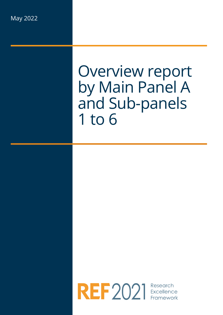# Overview report by Main Panel A and Sub-panels 1 to 6

REF 2021 Excellence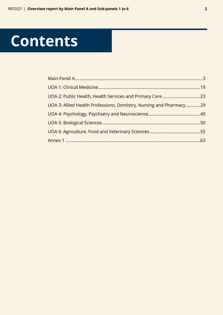# **Contents**

| UOA 3: Allied Health Professions, Dentistry, Nursing and Pharmacy 29 |  |
|----------------------------------------------------------------------|--|
|                                                                      |  |
|                                                                      |  |
|                                                                      |  |
|                                                                      |  |
|                                                                      |  |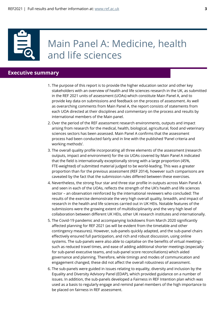

## Main Panel A: Medicine, health and life sciences

## **Executive summary**

- 1. The purpose of this report is to provide the higher education sector and other key stakeholders with an overview of health and life sciences research in the UK, as submitted in the REF 2021 units of assessment (UOAs) which constitute Main Panel A, and to provide key data on submissions and feedback on the process of assessment. As well as overarching comments from Main Panel A, the report consists of statements from each UOA directed at their disciplines and commentary on the process and results by international members of the Main panel.
- 2. Over the period of the REF assessment research environments, outputs and impact arising from research for the medical, health, biological, agricultural, food and veterinary sciences sectors has been assessed. Main Panel A confirms that the assessment process had been conducted fairly and in line with the published 'Panel criteria and working methods'.
- 3. The overall quality profile incorporating all three elements of the assessment (research outputs, impact and environment) for the six UOAs covered by Main Panel A indicated that the field is internationally exceptionally strong with a large proportion (45%, FTE-weighted) of submitted material judged to be world-leading. This was a greater proportion than for the previous assessment (REF 2014), however such comparisons are caveated by the fact that the submission rules differed between these exercises.
- 4. Nevertheless, the strong four star and three star profile in outputs across Main Panel A and seen in each of the UOAs, reflects the strength of the UK's health and life sciences sector – an observation reinforced by the international reviewers who concluded: The results of the exercise demonstrate the very high overall quality, breadth, and impact of research in the health and life sciences carried out in UK HEIs. Notable features of the submissions were the growing extent of multidisciplinarity and the very high level of collaboration between different UK HEIs, other UK research institutes and internationally.
- 5. The Covid-19 pandemic and accompanying lockdowns from March 2020 significantly affected planning for REF 2021 (as will be evident from the timetable and other contingency measures). However, sub-panels quickly adapted, and the sub-panel chairs effectively ensured full participation, and rich and robust discussion, using online systems. The sub-panels were also able to capitalise on the benefits of virtual meetings such as reduced travel times, and ease of adding additional shorter meetings (especially for sub-panel executive teams, and sub-panel score reconciliations) which aided governance and planning. Therefore, while timings and modes of communication and engagement changed, these did not affect the overall robustness of assessment.
- 6. The sub-panels were guided in issues relating to equality, diversity and inclusion by the Equality and Diversity Advisory Panel (EDAP), which provided guidance on a number of issues. In addition, the sub-panels developed a Fairness in REF Intention plan which was used as a basis to regularly engage and remind panel members of the high importance to be placed on fairness in REF assessment.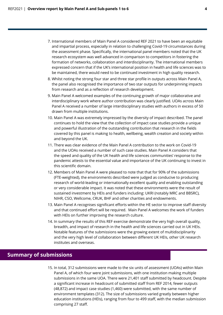- 7. International members of Main Panel A considered REF 2021 to have been an equitable and impartial process, especially in relation to challenging Covid-19 circumstances during the assessment phase. Specifically, the international panel members noted that the UK research ecosystem was well advanced in comparison to competitors in fostering the formation of networks, collaboration and interdisciplinarity. The international members expressed concern that if the UK's international position in health and life sciences was to be maintained, there would need to be continued investment in high quality research.
- 8. Whilst noting the strong four star and three star profile in outputs across Main Panel A, the panel also recognised the importance of two star outputs for underpinning impacts from research and as a reflection of research development.
- 9. Main Panel A welcomed examples of the continuing growth of major collaborative and interdisciplinary work where author contribution was clearly justified. UOAs across Main Panel A received a number of large interdisciplinary studies with authors in excess of 50 drawn from multiple institutions.
- 10. Main Panel A was extremely impressed by the diversity of impact described. The panel continues to hold the view that the collection of impact case studies provide a unique and powerful illustration of the outstanding contribution that research in the fields covered by this panel is making to health, wellbeing, wealth creation and society within and beyond the UK.
- 11. There was clear evidence of the Main Panel A contribution to the work on Covid-19 and the UOAs received a number of such case studies. Main Panel A considers that the speed and quality of the UK health and life sciences communities' response to the pandemic attests to the essential value and importance of the UK continuing to invest in this scientific domain.
- 12. Members of Main Panel A were pleased to note that that for 90% of the submissions (FTE-weighted), the environments described were judged as conducive to producing research of world-leading or internationally excellent quality and enabling outstanding or very considerable impact. It was noted that these environments were the result of sustained investment by HEIs and funders including: UKRI (notably MRC and BBSRC), NIHR, CSO, Wellcome, CRUK, BHF and other charities and endowments.
- 13. Main Panel A recognises significant efforts within the HE sector to improve staff diversity and that continued effort will be required. Main Panel A welcomes the work of funders with HEIs on further improving the research culture.
- 14. In summary the results of this REF exercise demonstrate the very high overall quality, breadth, and impact of research in the health and life sciences carried out in UK HEIs. Notable features of the submissions were the growing extent of multidisciplinarity and the very high level of collaboration between different UK HEIs, other UK research institutes and overseas.

## **Summary of submissions**

15. In total, 312 submissions were made to the six units of assessment (UOAs) within Main Panel A, of which four were joint submissions, with one institution making multiple submissions in the same UOA. There were 21,401 staff submitted by headcount. Despite a significant increase in headcount of submitted staff from REF 2014, fewer outputs (48,872) and impact case studies (1,460) were submitted, with the same number of environment templates (312). The size of submissions varied greatly between higher education institutions (HEIs), ranging from four to 499 staff, with the median submission comprising 27 staff.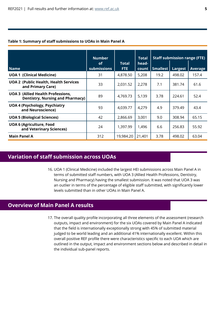| <b>Name</b>                                                                         | <b>Number</b><br><b>of</b><br><b>submissions</b> | <b>Total</b><br>FTE. | <b>Total</b><br>head-<br>count | Smallest | <b>Staff submission range (FTE)</b><br>Largest | <b>Average</b> |
|-------------------------------------------------------------------------------------|--------------------------------------------------|----------------------|--------------------------------|----------|------------------------------------------------|----------------|
| <b>UOA 1 (Clinical Medicine)</b>                                                    | 31                                               | 4,878.50             | 5,208                          | 19.2     | 498.02                                         | 157.4          |
|                                                                                     |                                                  |                      |                                |          |                                                |                |
| <b>UOA 2 (Public Health, Health Services</b><br>and Primary Care)                   | 33                                               | 2,031.52             | 2,278                          | 7.1      | 381.74                                         | 61.6           |
| <b>UOA 3 (Allied Health Professions,</b><br><b>Dentistry, Nursing and Pharmacy)</b> | 89                                               | 4,769.73             | 5,139                          | 3.78     | 224.61                                         | 52.4           |
| <b>UOA 4 (Psychology, Psychiatry</b><br>and Neuroscience)                           | 93                                               | 4,039.77             | 4,279                          | 4.9      | 379.49                                         | 43.4           |
| <b>UOA 5 (Biological Sciences)</b>                                                  | 42                                               | 2,866.69             | 3,001                          | 9.0      | 308.94                                         | 65.15          |
| <b>UOA 6 (Agriculture, Food</b><br>and Veterinary Sciences)                         | 24                                               | 1,397.99             | 1,496                          | 6.6      | 256.83                                         | 55.92          |
| <b>Main Panel A</b>                                                                 | 312                                              | 19,984.20            | 21,401                         | 3.78     | 498.02                                         | 63.04          |

### **Table 1: Summary of staff submissions to UOAs in Main Panel A**

## **Variation of staff submission across UOAs**

16. UOA 1 (Clinical Medicine) included the largest HEI submissions across Main Panel A in terms of submitted staff numbers, with UOA 3 (Allied Health Professions, Dentistry, Nursing and Pharmacy) having the smallest submission. It was noted that UOA 3 was an outlier in terms of the percentage of eligible staff submitted, with significantly lower levels submitted than in other UOAs in Main Panel A.

## **Overview of Main Panel A results**

17. The overall quality profile incorporating all three elements of the assessment (research outputs, impact and environment) for the six UOAs covered by Main Panel A indicated that the field is internationally exceptionally strong with 45% of submitted material judged to be world leading and an additional 41% internationally excellent. Within this overall positive REF profile there were characteristics specific to each UOA which are outlined in the output, impact and environment sections below and described in detail in the individual sub-panel reports.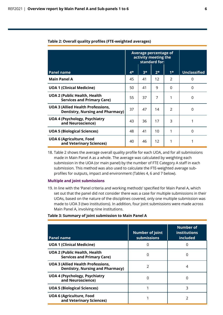#### **Table 2: Overall quality profiles (FTE-weighted averages)**

|                                                                                     | Average percentage of<br>activity meeting the<br>standard for: |      |      |               |                     |
|-------------------------------------------------------------------------------------|----------------------------------------------------------------|------|------|---------------|---------------------|
| <b>Panel name</b>                                                                   | $4*$                                                           | $3*$ | $2*$ | $1*$          | <b>Unclassified</b> |
| <b>Main Panel A</b>                                                                 | 45                                                             | 41   | 12   | 2             | 0                   |
| <b>UOA 1 (Clinical Medicine)</b>                                                    | 50                                                             | 41   | 9    | $\Omega$      | 0                   |
| <b>UOA 2 (Public Health, Health</b><br><b>Services and Primary Care)</b>            | 55                                                             | 37   | 7    |               | $\Omega$            |
| <b>UOA 3 (Allied Health Professions,</b><br><b>Dentistry, Nursing and Pharmacy)</b> | 37                                                             | 47   | 14   | $\mathcal{P}$ | $\Omega$            |
| <b>UOA 4 (Psychology, Psychiatry</b><br>and Neuroscience)                           | 43                                                             | 36   | 17   | 3             |                     |
| <b>UOA 5 (Biological Sciences)</b>                                                  | 48                                                             | 41   | 10   |               | $\Omega$            |
| <b>UOA 6 (Agriculture, Food</b><br>and Veterinary Sciences)                         | 40                                                             | 46   | 12   |               |                     |

18. Table 2 shows the average overall quality profile for each UOA, and for all submissions made in Main Panel A as a whole. The average was calculated by weighting each submission in the UOA (or main panel) by the number of FTE Category A staff in each submission. This method was also used to calculate the FTE-weighted average subprofiles for outputs, impact and environment (Tables 4, 6 and 7 below).

#### **Multiple and joint submissions**

19. In line with the 'Panel criteria and working methods' specified for Main Panel A, which set out that the panel did not consider there was a case for multiple submissions in their UOAs, based on the nature of the disciplines covered, only one multiple submission was made to UOA 3 (two institutions). In addition, four joint submissions were made across Main Panel A, involving nine institutions.

#### **Table 3: Summary of joint submission to Main Panel A**

| <b>Panel name</b>                                                                   | <b>Number of joint</b><br><b>submissions</b> | <b>Number of</b><br><b>institutions</b><br>included |
|-------------------------------------------------------------------------------------|----------------------------------------------|-----------------------------------------------------|
| <b>UOA 1 (Clinical Medicine)</b>                                                    |                                              |                                                     |
| <b>UOA 2 (Public Health, Health</b><br><b>Services and Primary Care)</b>            | 0                                            | 0                                                   |
| <b>UOA 3 (Allied Health Professions,</b><br><b>Dentistry, Nursing and Pharmacy)</b> | $\mathcal{P}$                                | 4                                                   |
| <b>UOA 4 (Psychology, Psychiatry</b><br>and Neuroscience)                           | O                                            |                                                     |
| <b>UOA 5 (Biological Sciences)</b>                                                  |                                              | 3                                                   |
| <b>UOA 6 (Agriculture, Food</b><br>and Veterinary Sciences)                         |                                              |                                                     |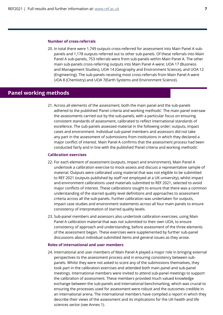#### **Number of cross-referrals**

20. In total there were 1,749 outputs cross-referred for assessment into Main Panel A subpanels and 1,178 outputs referred out to other sub-panels. Of these referrals into Main Panel A sub-panels, 753 referrals were from sub-panels within Main Panel A. The other main sub-panels cross-referring outputs into Main Panel A were: UOA 17 (Business and Management Studies), UOA 14 (Geography and Environment Science), and UOA 12 (Engineering). The sub-panels receiving most cross-referrals from Main Panel A were UOA 8 (Chemistry) and UOA 7(Earth Systems and Environment Science).

## **Panel working methods**

21. Across all elements of the assessment, both the main panel and the sub-panels adhered to the published 'Panel criteria and working methods'. The main panel oversaw the assessments carried out by the sub-panels, with a particular focus on ensuring consistent standards of assessment, calibrated to reflect international standards of excellence. The sub-panels assessed material in the following order: outputs, impact cases and environment. Individual sub-panel members and assessors did not take any part in the assessment of submissions from institutions in which they declared a major conflict of interest. Main Panel A confirms that the assessment process had been conducted fairly and in line with the published 'Panel criteria and working methods'.

#### **Calibration exercises**

- 22. For each element of assessment (outputs, impact and environment), Main Panel A undertook a calibration exercise to mock-assess and discuss a representative sample of material. Outputs were calibrated using material that was not eligible to be submitted to REF 2021 (outputs published by staff not employed at a UK university), whilst impact and environment calibrations used materials submitted to REF 2021, selected to avoid major conflicts of interest. These calibrations sought to ensure that there was a common understanding of the starred quality level definitions and approaches to assessment criteria across all the sub-panels. Further calibration was undertaken for outputs, impact case studies and environment statements across all four main panels to ensure consistency of interpretation of starred quality levels.
- 23. Sub-panel members and assessors also undertook calibration exercises, using Main Panel A calibration material that was not submitted to their own UOA, to ensure consistency of approach and understanding, before assessment of the three elements of the assessment began. These exercises were supplemented by further sub-panel discussions about individual submitted items and general issues as they arose.

#### **Roles of international and user members**

24. International and user members of Main Panel A played a major role in bringing external perspectives to the assessment process and in ensuring consistency between subpanels. Whilst they were not asked to score any of the submissions themselves, they took part in the calibration exercises and attended both main panel and sub-panel meetings. International members were invited to attend sub-panel meetings to support the calibration of assessment. These members provided much valued knowledge exchange between the sub-panels and international benchmarking, which was crucial to ensuring the processes used for assessment were robust and the outcomes credible in an international arena. The international members have compiled a report in which they describe their views of the assessment and its implications for the UK health and life sciences sector (see Annex 1).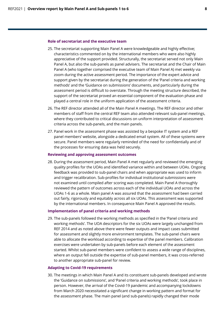#### **Role of secretariat and the executive team**

- 25. The secretariat supporting Main Panel A were knowledgeable and highly effective; characteristics commented on by the international members who were also highly appreciative of the support provided. Structurally, the secretariat served not only Main Panel A, but also the sub-panels as panel advisers. The secretariat and the Chair of Main Panel A (who together comprised the executive team of Main Panel A) met weekly via zoom during the active assessment period. The importance of the expert advice and support given by the secretariat during the generation of the 'Panel criteria and working methods' and the 'Guidance on submissions' documents, and particularly during the assessment period is difficult to overstate. Through the meeting structure described, the support of the secretariat proved an essential component of the evaluation phase and played a central role in the uniform application of the assessment criteria.
- 26. The REF director attended all of the Main Panel A meetings. The REF director and other members of staff from the central REF team also attended relevant sub-panel meetings, where they contributed to critical discussions on uniform interpretation of assessment criteria across the sub-panels, and the main panels.
- 27. Panel work in the assessment phase was assisted by a bespoke IT system and a REF panel members' website, alongside a dedicated email system. All of these systems were secure. Panel members were regularly reminded of the need for confidentially and of the processes for ensuring data was held securely.

#### **Reviewing and approving assessment outcomes**

28. During the assessment period, Main Panel A met regularly and reviewed the emerging quality profiles for the UOAs and identified variance within and between UOAs. Ongoing feedback was provided to sub-panel chairs and when appropriate was used to inform and trigger recalibration. Sub-profiles for individual institutional submissions were not examined until compiled after scoring was completed. Main Panel A thoroughly reviewed the pattern of outcomes across each of the individual UOAs and across the UOAs 1-6 as a whole. Main panel A was assured that the assessment had been carried out fairly, rigorously and equitably across all six UOAs. This assessment was supported by the international members. In consequence Main Panel A approved the results.

#### **Implementation of panel criteria and working methods**

29. The sub-panels followed the working methods as specified in the 'Panel criteria and working methods'. The UOA descriptors for the six UOAs were largely unchanged from REF 2014 and as noted above there were fewer outputs and impact cases submitted for assessment and slightly more environment templates. The sub-panel chairs were able to allocate the workload according to expertise of the panel members. Calibration exercises were undertaken by sub-panels before each element of the assessment started. Whilst sub-panel members were confident to assess a wide range of disciplines, where an output fell outside the expertise of sub-panel members, it was cross-referred to another appropriate sub-panel for review.

#### **Adapting to Covid-19 requirements**

30. The meetings in which Main Panel A and its constituent sub-panels developed and wrote the 'Guidance on submissions', and 'Panel criteria and working methods', took place in person. However, the arrival of the Covid-19 pandemic and accompanying lockdowns from March 2020 necessitated a significant change in working pattern and format for the assessment phase. The main panel (and sub-panels) rapidly changed their mode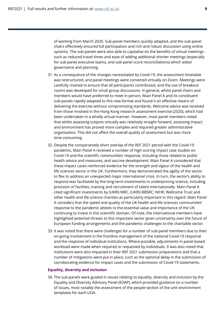of working from March 2020. Sub-panel members quickly adapted, and the sub-panel chairs effectively ensured full participation and rich and robust discussion using online systems. The sub-panels were also able to capitalise on the benefits of virtual meetings such as reduced travel times and ease of adding additional shorter meetings (especially for sub-panel executive teams, and sub-panel score reconciliations) which aided governance and planning.

- 31. As a consequence of the changes necessitated by Covid-19, the assessment timetable was restructured, and panel meetings were convened virtually on Zoom. Meetings were carefully chaired to ensure that all participants contributed, and the use of breakout rooms was developed for small group discussions. In general, whilst panel chairs and members would have preferred to meet in person, Main Panel A and its constituent sub-panels rapidly adapted to this new format and found it an effective means of delivering the exercise without compromising standards. Welcome advice was received from those involved in the Hong Kong research assessment exercise (2020), which had been undertaken in a wholly virtual manner. However, most panel members noted that whilst assessing outputs virtually was relatively straight forward, assessing impact and environment has proved more complex and required greater administrative organisation. This did not affect the overall quality of assessment but was more time consuming.
- 32. Despite the comparatively short overlap of the REF 2021 period with the Covid-19 pandemic, Main Panel A received a number of high scoring impact case studies on Covid-19 and the scientific communities' response, including those related to public health advice and measures, and vaccine development. Main Panel A considered that these impact cases reinforced evidence for the strength and vigour of the health and life sciences sector in the UK. Furthermore, they demonstrated the agility of the sector to flex to address an unexpected major international crisis. In turn, the sector's ability to respond was facilitated by the long-term investments in underpinning science, including provision of facilities, training and recruitment of talent internationally. Main Panel A cited significant investments by (UKRI) MRC, (UKRI) BBSRC; NIHR, Wellcome Trust and other health and life science charities as particularly important in this regard. Main Panel A considers that the speed and quality of the UK health and life sciences communities' response to the pandemic attests to the essential value and importance of the UK continuing to invest in this scientific domain. Of note, the international members have highlighted potential threats to this important sector given uncertainty over the future of European funding arrangements and the pandemic challenges to the charitable sector.
- 33. It was noted that there were challenges for a number of sub-panel members due to their on-going involvement in the frontline management of the national Covid-19 response and the response of individual institutions. Where possible, adjustments in panel-based workload were made when required or requested by individuals. It was also noted that institutions were also impacted in their REF 2021 submission preparations and that a number of mitigations were put in place, such as the optional delay in the submission of corroborating evidence for impact cases and the submission of Covid-19 statements.

#### **Equality, diversity and inclusion**

34. The sub-panels were guided in issues relating to equality, diversity and inclusion by the Equality and Diversity Advisory Panel (EDAP), which provided guidance on a number of issues, most notably the assessment of the people section of the unit environment templates for each UOA.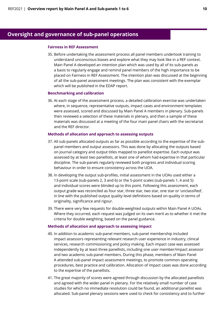## **Oversight and governance of sub-panel operations**

#### **Fairness in REF Assessment**

35. Before undertaking the assessment process all panel members undertook training to understand unconscious biases and explore what they may look like in a REF context. Main Panel A developed an intention plan which was used by all of its sub-panels as a basis to regularly engage and remind panel members of the high importance to be placed on Fairness in REF Assessment. The intention plan was discussed at the beginning of all the sub-panel assessment meetings. The plan was consistent with the exemplar which will be published in the EDAP report.

#### **Benchmarking and calibration**

36. At each stage of the assessment process, a detailed calibration exercise was undertaken where, in sequence, representative outputs, impact cases and environment templates were assessed, scored and discussed by Main Panel A members in plenary. Sub-panels then reviewed a selection of these materials in plenary, and then a sample of these materials was discussed at a meeting of the four main panel chairs with the secretariat and the REF director.

#### **Methods of allocation and approach to assessing outputs**

- 37. All sub-panels allocated outputs as far as possible according to the expertise of the subpanel members and output assessors. This was done by allocating the outputs based on journal category and output titles mapped to panellist expertise. Each output was assessed by at least two panellists, at least one of whom had expertise in that particular discipline. The sub-panels regularly reviewed both progress and individual scoring behaviour in order to ensure consistency across the UOA.
- 38. In developing the output sub-profiles, initial assessment in the UOAs used either a 13-point scale (sub-panels 2, 3 and 6) or the 5-point scales (sub-panels 1, 4 and 5) and individual scores were blinded up to this point. Following this assessment, each output grade was reconciled as four star, three star, two star, one star or 'unclassified', in line with the published output quality level definitions based on quality in terms of originality, significance and rigour.
- 39. There were very few requests for double-weighted outputs within Main Panel A UOAs. Where they occurred, each request was judged on its own merit as to whether it met the criteria for double weighting, based on the panel guidance.

#### **Methods of allocation and approach to assessing impact**

- 40. In addition to academic sub-panel members, sub-panel membership included impact assessors representing relevant research user experience in industry, clinical services, research commissioning and policy making. Each impact case was assessed independently by at least three panellists, including one user member/impact assessor and two academic sub-panel members. During this phase, members of Main Panel A attended sub-panel impact assessment meetings, to promote common operating procedures, best practice and calibration. Allocation of impact cases was done according to the expertise of the panellists.
- 41. The great majority of scores were agreed through discussion by the allocated panellists and agreed with the wider panel in plenary. For the relatively small number of case studies for which no immediate resolution could be found, an additional panellist was allocated. Sub-panel plenary sessions were used to check for consistency and to further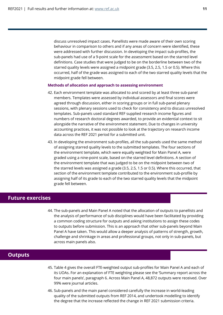discuss unresolved impact cases. Panellists were made aware of their own scoring behaviour in comparison to others and if any areas of concern were identified, these were addressed with further discussion. In developing the impact sub-profiles, the sub-panels had use of a 9-point scale for the assessment based on the starred level definitions. Case studies that were judged to be on the borderline between two of the starred quality levels were assigned a midpoint grade (3.5, 2.5, 1.5 or 0.5). Where this occurred, half of the grade was assigned to each of the two starred quality levels that the midpoint grade fell between.

#### **Methods of allocation and approach to assessing environment**

- 42. Each environment template was allocated to and scored by at least three sub-panel members. Templates were assessed by individual assessors and final scores were agreed through discussion, either in scoring groups or in full sub-panel plenary sessions, with plenary sessions used to check for consistency and to discuss unresolved templates. Sub-panels used standard REF supplied research income figures and numbers of research doctoral degrees awarded, to provide an evidential context to sit alongside the narrative of the environment statement. Due to changes in university accounting practices, it was not possible to look at the trajectory on research income data across the REF 2021 period for a submitted unit.
- 43. In developing the environment sub-profiles, all the sub-panels used the same method of assigning starred quality levels to the submitted templates. The four sections of the environment template, which were equally weighted for Main Panel A, were graded using a nine-point scale, based on the starred level definitions. A section of the environment template that was judged to be on the midpoint between two of the starred levels was assigned a grade (3.5, 2.5, 1.5 or 0.5). Where this occurred, that section of the environment template contributed to the environment sub-profile by assigning half of its grade to each of the two starred quality levels that the midpoint grade fell between.

#### **Future exercises**

44. The sub-panels and Main Panel A noted that the allocation of outputs to panellists and the analysis of performance of sub disciplines would have been facilitated by providing a common coding structure for outputs and asking institutions to assign these codes to outputs before submission. This is an approach that other sub-panels beyond Main Panel A have taken. This would allow a deeper analysis of patterns of strength, growth, challenge and shrinkage in areas and professional groups, not only in sub-panels, but across main panels also.

## **Outputs**

- 45. Table 4 gives the overall FTE-weighted output sub-profiles for Main Panel A and each of its UOAs. For an explanation of FTE weighting please see the 'Summary report across the four main panels', paragraph 6. Across Main Panel A, 48,872 outputs were received. Over 99% were journal articles.
- 46. Sub-panels and the main panel considered carefully the increase in world-leading quality of the submitted outputs from REF 2014, and undertook modelling to identify the degree that the increase reflected the change in REF 2021 submission criteria.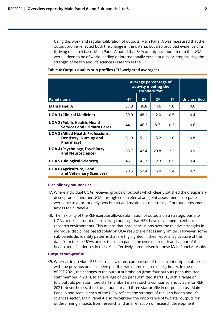Using this work and regular calibration of outputs, Main Panel A was reassured that the output profile reflected both the change in the criteria, but also provided evidence of a thriving research base. Main Panel A noted that 84% of outputs submitted to the UOAs were judged to be of world-leading or internationally excellent quality, emphasising the strength of health and life sciences research in the UK.

|                                                                                        | Average percentage of<br>activity meeting the<br>standard for: |      |      |      |                     |
|----------------------------------------------------------------------------------------|----------------------------------------------------------------|------|------|------|---------------------|
| <b>Panel name</b>                                                                      | $4*$                                                           | $3*$ | $2*$ | $1*$ | <b>Unclassified</b> |
| <b>Main Panel A</b>                                                                    | 37.0                                                           | 46.8 | 14.6 | 1.0  | 0.6                 |
| <b>UOA 1 (Clinical Medicine)</b>                                                       | 39.0                                                           | 48.1 | 12.0 | 0.5  | 0.4                 |
| <b>UOA 2 (Public Health, Health</b><br><b>Services and Primary Care)</b>               | 44.1                                                           | 46.3 | 8.7  | 0.3  | 0.6                 |
| <b>UOA 3 (Allied Health Professions,</b><br><b>Dentistry, Nursing and</b><br>Pharmacy) | 31.9                                                           | 51.1 | 15.2 | 1.0  | 0.8                 |
| <b>UOA 4 (Psychology, Psychiatry</b><br>and Neuroscience)                              | 33.7                                                           | 42.4 | 20.8 | 2.2  | 0.9                 |
| <b>UOA 5 (Biological Sciences)</b>                                                     | 45.1                                                           | 41.7 | 12.3 | 0.5  | 0.4                 |
| <b>UOA 6 (Agriculture, Food</b><br>and Veterinary Sciences)                            | 29.5                                                           | 52.4 | 16.0 | 1.4  | 0.7                 |

#### **Table 4: Output quality sub-profiles (FTE-weighted averages)**

#### **Disciplinary boundaries**

- 47. Where individual UOAs received groups of outputs which clearly satisfied the disciplinary descriptors of another UOA, through cross referral and joint assessment, sub-panels were able to appropriately benchmark and maximise consistency of output assessment across Main Panel A.
- 48. The flexibility of the REF exercise allows submission of outputs on a strategic basis to UOAs to take account of structural groupings that HEIs have developed to enhance research environments. This means that hard conclusions over the relative strengths in individual disciplines based solely on UOA results are necessarily limited. However, some sub-panels did identify patterns that are highlighted in their reports. By capture of the data from the six UOAs across this main panel, the overall strength and vigour of the health and life sciences in the UK is effectively summarised in these Main Panel A results.

#### **Outputs sub-profile**

49. Whereas in previous REF exercises, a direct comparison of the current output sub-profile with the previous one has been possible with some degree of legitimacy. In the case of REF 2021, the changes in the output submission (from four outputs per submitted staff member in 2014, to an average of 2.5 per submitted staff FTE, with a range of 1 to 5 outputs per submitted staff member) makes such a comparison not viable for REF 2021. Nevertheless, the strong four star and three star profile in outputs across Main Panel A and seen in each of the UOA, reflects the strength of the UK's health and life sciences sector. Main Panel A also recognised the importance of two star outputs for underpinning impacts from research and as a reflection of research development.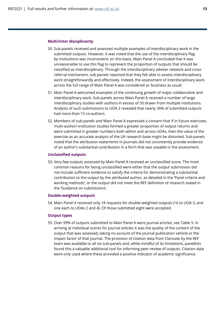#### **Multi/inter disciplinarity**

- 50. Sub-panels received and assessed multiple examples of interdisciplinary work in the submitted outputs. However, it was noted that the use of the interdisciplinary flag by institutions was inconsistent; on this basis, Main Panel A concluded that it was unreasonable to use this flag to represent the proportion of outputs that should be classified as interdisciplinary. Through the interdisciplinary adviser network and crossreferral mechanism, sub-panels reported that they felt able to assess interdisciplinary work straightforwardly and effectively. Indeed, the assessment of interdisciplinary work across the full range of Main Panel A was considered as 'business as usual'.
- 51. Main Panel A welcomed examples of the continuing growth of major collaborative and interdisciplinary work. Sub-panels across Main Panel A received a number of large interdisciplinary studies with authors in excess of 50 drawn from multiple institutions. Analysis of such submissions to UOA 2 revealed that nearly 30% of submitted outputs had more than 15 co-authors.
- 52. Members of sub-panels and Main Panel A expressed a concern that if in future exercises, multi-author/-institution studies formed a greater proportion of output returns and were submitted in greater numbers both within and across UOAs, then the value of the exercise as an accurate analysis of the UK research base might be distorted. Sub-panels noted that the attribution statements in journals did not consistently provide evidence of an author's substantial contribution in a form that was useable in the assessment.

#### **Unclassified outputs**

53. Very few outputs assessed by Main Panel A received an unclassified score. The most common reasons for being unclassified were either that the output submission did not include sufficient evidence to satisfy the criteria for demonstrating a substantial contribution to the output by the attributed author, as detailed in the 'Panel criteria and working methods'; or the output did not meet the REF definition of research stated in the 'Guidance on submissions'.

#### **Double-weighted outputs**

54. Main Panel A received only 18 requests for double-weighted outputs (16 to UOA 3, and one each to UOAs 2 and 4). Of those submitted eight were accepted.

#### **Output types**

55. Over 99% of outputs submitted to Main Panel A were journal articles, see Table 5. In arriving at individual scores for journal articles it was the quality of the content of the output that was assessed, taking no account of the journal publication vehicle or the impact factor of that journal. The provision of citation data from Clarivate by the REF team was available to all six sub-panels and, while mindful of its limitations, panellists found this a valuable additional tool for informing peer-review of outputs. Citation data were only used where these provided a positive indicator of academic significance.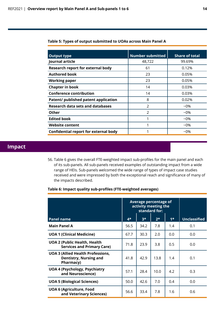| <b>Output type</b>                           | <b>Number submitted</b> | <b>Share of total</b> |
|----------------------------------------------|-------------------------|-----------------------|
| Journal article                              | 48,722                  | 99.69%                |
| <b>Research report for external body</b>     | 61                      | 0.12%                 |
| <b>Authored book</b>                         | 23                      | 0.05%                 |
| <b>Working paper</b>                         | 23                      | 0.05%                 |
| <b>Chapter in book</b>                       | 14                      | 0.03%                 |
| <b>Conference contribution</b>               | 14                      | 0.03%                 |
| Patent/ published patent application         | 8                       | 0.02%                 |
| <b>Research data sets and databases</b>      | $\mathfrak{D}$          | $-0\%$                |
| Other                                        | $\mathcal{P}$           | $-0\%$                |
| <b>Edited book</b>                           | 1                       | $-0\%$                |
| <b>Website content</b>                       |                         | $-0\%$                |
| <b>Confidential report for external body</b> |                         | $-0\%$                |

## **Impact**

56. Table 6 gives the overall FTE-weighted impact sub-profiles for the main panel and each of its sub-panels. All sub-panels received examples of outstanding impact from a wide range of HEIs. Sub-panels welcomed the wide range of types of impact case studies received and were impressed by both the exceptional reach and significance of many of the impacts described.

#### **Table 6: Impact quality sub-profiles (FTE-weighted averages)**

|                                                                                        | Average percentage of<br>activity meeting the<br>standard for: |      |      |      |                     |
|----------------------------------------------------------------------------------------|----------------------------------------------------------------|------|------|------|---------------------|
| <b>Panel name</b>                                                                      | $4*$                                                           | $3*$ | $2*$ | $1*$ | <b>Unclassified</b> |
| <b>Main Panel A</b>                                                                    | 56.5                                                           | 34.2 | 7.8  | 1.4  | 0.1                 |
| <b>UOA 1 (Clinical Medicine)</b>                                                       | 67.7                                                           | 30.3 | 2.0  | 0.0  | 0.0                 |
| <b>UOA 2 (Public Health, Health</b><br><b>Services and Primary Care)</b>               | 71.8                                                           | 23.9 | 3.8  | 0.5  | 0.0                 |
| <b>UOA 3 (Allied Health Professions,</b><br><b>Dentistry, Nursing and</b><br>Pharmacy) | 41.8                                                           | 42.9 | 13.8 | 1.4  | 0.1                 |
| <b>UOA 4 (Psychology, Psychiatry</b><br>and Neuroscience)                              | 57.1                                                           | 28.4 | 10.0 | 4.2  | 0.3                 |
| <b>UOA 5 (Biological Sciences)</b>                                                     | 50.0                                                           | 42.6 | 7.0  | 0.4  | 0.0                 |
| <b>UOA 6 (Agriculture, Food</b><br>and Veterinary Sciences)                            | 56.6                                                           | 33.4 | 7.8  | 1.6  | 0.6                 |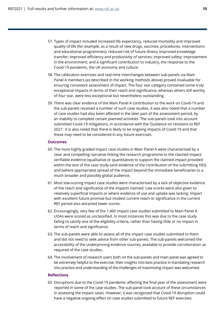- 57. Types of impact included increased life expectancy, reduced morbidity and improved quality of life (for example, as a result of new drugs, vaccines, procedures, interventions and educational programmes); reduced risk of future illness; improved knowledge transfer; improved efficiency and productivity of services; improved safety; improvement in the environment; and a significant contribution to industry, the response to the Covid-19 pandemic, the UK economy and culture.
- 58. The calibration exercises and real-time interchanges between sub-panels via Main Panel A members (as described in the working methods above) proved invaluable for ensuring consistent assessment of impact. The four star category contained some truly exceptional impacts in terms of their reach and significance, whereas others still worthy of four star, were less exceptional but nevertheless outstanding.
- 59. There was clear evidence of the Main Panel A contribution to the work on Covid-19 and the sub-panels received a number of such case studies. It was also noted that a number of case studies had also been affected in the later part of the assessment period, by an inability to complete certain planned activities. The sub-panels took into account submitted Covid-19 mitigations, in accordance with the 'Guidance on revisions to REF 2021'. It is also noted that there is likely to be ongoing impacts of Covid-19 and that these may need to be considered in any future exercises.

#### **Outcomes**

- 60. The most highly graded impact case studies in Main Panel A were characterised by a clear and compelling narrative linking the research programme to the claimed impact; verifiable evidence (qualitative or quantitative) to support the claimed impact provided within the text of the case study (and evidence of the contribution of the submitting HEI); and (where appropriate) spread of the impact beyond the immediate beneficiaries to a much broader and possibly global audience.
- 61. Most low-scoring impact case studies were characterised by a lack of objective evidence of the reach and significance of the impacts claimed. Low scores were also given to relatively superficial impacts or where evidence of use and uptake was lacking. Impact with excellent future promise but modest current reach or significance in the current REF period also attracted lower scores.
- 62. Encouragingly, very few of the 1,460 impact case studies submitted to Main Panel A UOAs were scored as unclassified. In most instances this was due to the case study failing to satisfy one of the eligibility criteria, rather than having little or no impact in terms of reach and significance.
- 63. The sub-panels were able to assess all of the impact case studies submitted to them and did not need to seek advice from other sub-panels. The sub-panels welcomed the accessibility of the underpinning evidence sources, available to provide corroboration as required of the case studies.
- 64. The involvement of research users both on the sub-panels and main panel was agreed to be extremely helpful to the exercise; their insights into best practice in translating research into practice and understanding of the challenges of maximising impact was welcomed.

#### **Reflections**

65. Disruptions due to the Covid-19 pandemic affecting the final year of the assessment were reported in some of the case studies. The sub-panel took account of these circumstances in assessing the impact cases. However, it was recognised that Covid-19 disruption could have a negative ongoing effect on case studies submitted to future REF exercises.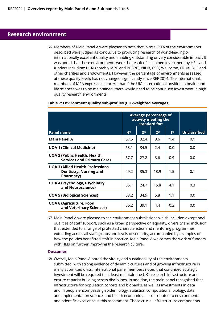## **Research environment**

66. Members of Main Panel A were pleased to note that in total 90% of the environments described were judged as conducive to producing research of world-leading or internationally excellent quality and enabling outstanding or very considerable impact. It was noted that these environments were the result of sustained investment by HEIs and funders including: UKRI (notably MRC and BBSRC), NIHR, CSO, Wellcome, CRUK, BHF and other charities and endowments. However, the percentage of environments assessed at these quality levels has not changed significantly since REF 2014. The international, members of MPA expressed concern that if the UK's international position in health and life sciences was to be maintained, there would need to be continued investment in high quality research environments.

|                                                                                        | Average percentage of<br>activity meeting the<br>standard for: |      |      |      |                     |
|----------------------------------------------------------------------------------------|----------------------------------------------------------------|------|------|------|---------------------|
| <b>Panel name</b>                                                                      | $4*$                                                           | $3*$ | $2*$ | $1*$ | <b>Unclassified</b> |
| <b>Main Panel A</b>                                                                    | 57.5                                                           | 32.4 | 8.6  | 1.4  | 0.1                 |
| <b>UOA 1 (Clinical Medicine)</b>                                                       | 63.1                                                           | 34.5 | 2.4  | 0.0  | 0.0                 |
| <b>UOA 2 (Public Health, Health</b><br><b>Services and Primary Care)</b>               | 67.7                                                           | 27.8 | 3.6  | 0.9  | 0.0                 |
| <b>UOA 3 (Allied Health Professions,</b><br><b>Dentistry, Nursing and</b><br>Pharmacy) | 49.2                                                           | 35.3 | 13.9 | 1.5  | 0.1                 |
| <b>UOA 4 (Psychology, Psychiatry</b><br>and Neuroscience)                              | 55.1                                                           | 24.7 | 15.8 | 4.1  | 0.3                 |
| <b>UOA 5 (Biological Sciences)</b>                                                     | 58.2                                                           | 34.9 | 5.8  | 1.1  | 0.0                 |
| <b>UOA 6 (Agriculture, Food</b><br>and Veterinary Sciences)                            | 56.2                                                           | 39.1 | 4.4  | 0.3  | 0.0                 |

#### **Table 7: Environment quality sub-profiles (FTE-weighted averages)**

67. Main Panel A were pleased to see environment submissions which included exceptional qualities of staff support, such as a broad perspective on equality, diversity and inclusion that extended to a range of protected characteristics and mentoring programmes extending across all staff groups and levels of seniority, accompanied by examples of how the policies benefitted staff in practice. Main Panel A welcomes the work of funders with HEIs on further improving the research culture.

#### **Outcomes**

68. Overall, Main Panel A noted the vitality and sustainability of the environments submitted, with strong evidence of dynamic cultures and of growing infrastructure in many submitted units. International panel members noted that continued strategic investment will be required to at least maintain the UK's research infrastructure and ensure capacity building across disciplines. In addition, the main panel recognised that infrastructure for population cohorts and biobanks, as well as investments in data and in people encompassing epidemiology, statistics, computational biology, data and implementation science, and health economics, all contributed to environmental and scientific excellence in this assessment. These crucial infrastructure components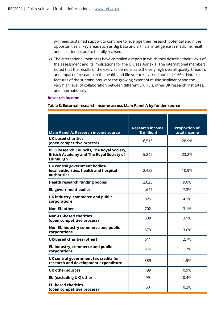will need sustained support to continue to leverage their research potential and if the opportunities in key areas such as Big Data and artificial intelligence in medicine, health and life sciences are to be fully realised.

69. The international members have compiled a report in which they describe their views of the assessment and its implications for the UK, see Annex 1. The international members noted that the results of the exercise demonstrate the very high overall quality, breadth, and impact of research in the health and life sciences carried out in UK HEIs. Notable features of the submissions were the growing extent of multidisciplinarity and the very high level of collaboration between different UK HEIs, other UK research institutes, and internationally.

#### **Research income**

#### **Table 8: External research income across Main Panel A by funder source**

| <b>Main Panel A: Research income source</b>                                                                       | <b>Research income</b><br>(£ million) | <b>Proportion of</b><br>total income |
|-------------------------------------------------------------------------------------------------------------------|---------------------------------------|--------------------------------------|
| <b>UK-based charities</b><br>(open competitive process)                                                           | 6,515                                 | 28.9%                                |
| <b>BEIS Research Councils, The Royal Society,</b><br><b>British Academy and The Royal Society of</b><br>Edinburgh | 5,242                                 | 23.2%                                |
| UK central government bodies/<br>local authorities, health and hospital<br>authorities                            | 2,453                                 | 10.9%                                |
| <b>Health research funding bodies</b>                                                                             | 2,025                                 | 9.0%                                 |
| <b>EU government bodies</b>                                                                                       | 1,647                                 | 7.3%                                 |
| UK industry, commerce and public<br>corporations                                                                  | 925                                   | 4.1%                                 |
| <b>Non-EU other</b>                                                                                               | 702                                   | 3.1%                                 |
| <b>Non-EU-based charities</b><br>(open competitive process)                                                       | 688                                   | 3.1%                                 |
| Non-EU industry commerce and public<br>corporations                                                               | 679                                   | 3.0%                                 |
| <b>UK-based charities (other)</b>                                                                                 | 611                                   | 2.7%                                 |
| EU industry, commerce and public<br>corporations                                                                  | 376                                   | 1.7%                                 |
| UK central government tax credits for<br>research and development expenditure                                     | 339                                   | 1.5%                                 |
| <b>UK other sources</b>                                                                                           | 199                                   | 0.9%                                 |
| EU (excluding UK) other                                                                                           | 99                                    | 0.4%                                 |
| <b>EU-based charities</b><br>(open competitive process)                                                           | 50                                    | 0.2%                                 |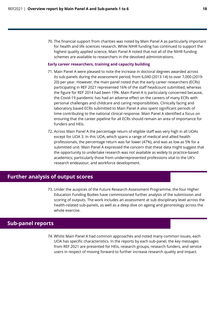70. The financial support from charities was noted by Main Panel A as particularly important for health and life sciences research. While NIHR funding has continued to support the highest quality applied science, Main Panel A noted that not all of the NIHR funding schemes are available to researchers in the devolved administrations.

#### **Early career researchers, training and capacity building**

- 71. Main Panel A were pleased to note the increase in doctoral degrees awarded across its sub-panels during the assessment period, from 6,040 (2013-14) to over 7,000 (2019- 20) per year. However, the main panel noted that the early career researchers (ECRs) participating in REF 2021 represented 16% of the staff headcount submitted, whereas the figure for REF 2014 had been 19%. Main Panel A is particularly concerned because, the Covid-19 pandemic has had an adverse effect on the careers of many ECRs with personal challenges and childcare and caring responsibilities. Clinically facing and laboratory based ECRs submitted to Main Panel A also spent significant periods of time contributing to the national clinical response. Main Panel A identified a focus on ensuring that the career pipeline for all ECRs should remain an area of importance for funders and HEIs.
- 72. Across Main Panel A the percentage return of eligible staff was very high in all UOAs except for UOA 3. In this UOA, which spans a range of medical and allied health professionals, the percentage return was far lower (47%), and was as low as 5% for a submitted unit. Main Panel A expressed the concern that these data might suggest that the opportunity to undertake research was not available as widely to practice-based academics; particularly those from underrepresented professions vital to the UK's research endeavour, and workforce development.

## **Further analysis of output scores**

73. Under the auspices of the Future Research Assessment Programme, the four Higher Education Funding Bodies have commissioned further analysis of the submission and scoring of outputs. The work includes an assessment at sub disciplinary level across the health-related sub-panels, as well as a deep dive on ageing and gerontology across the whole exercise.

## **Sub-panel reports**

74. Whilst Main Panel A had common approaches and noted many common issues, each UOA has specific characteristics. In the reports by each sub-panel, the key messages from REF 2021 are presented for HEIs, research groups, research funders, and service users in respect of moving forward to further increase research quality and impact.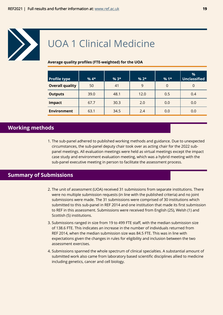<span id="page-18-0"></span>

## UOA 1 Clinical Medicine

#### **Average quality profiles (FTE-weighted) for the UOA**

| Profile type           | $%4*$ | $%3*$ | $% 2*$ | $%1*$          | %<br><b>Unclassified</b> |
|------------------------|-------|-------|--------|----------------|--------------------------|
| <b>Overall quality</b> | 50    | 41    | 9      | $\overline{0}$ | 0                        |
| <b>Outputs</b>         | 39.0  | 48.1  | 12.0   | 0.5            | 0.4                      |
| <b>Impact</b>          | 67.7  | 30.3  | 2.0    | 0.0            | 0.0                      |
| <b>Environment</b>     | 63.1  | 34.5  | 2.4    | 0.0            | 0.0                      |

## **Working methods**

1. The sub-panel adhered to published working methods and guidance. Due to unexpected circumstances, the sub-panel deputy chair took over as acting chair for the 2022 subpanel meetings. All evaluation meetings were held as virtual meetings except the impact case study and environment evaluation meeting, which was a hybrid meeting with the sub-panel executive meeting in person to facilitate the assessment process.

## **Summary of Submissions**

- 2. The unit of assessment (UOA) received 31 submissions from separate institutions. There were no multiple submission requests (in line with the published criteria) and no joint submissions were made. The 31 submissions were comprised of 30 institutions which submitted to this sub-panel in REF 2014 and one institution that made its first submission to REF in this assessment. Submissions were received from English (25), Welsh (1) and Scottish (5) institutions.
- 3. Submissions ranged in size from 19 to 499 FTE staff, with the median submission size of 138.6 FTE. This indicates an increase in the number of individuals returned from REF 2014, when the median submission size was 84.5 FTE. This was in line with expectations given the changes in rules for eligibility and inclusion between the two assessment exercises.
- 4. Submissions spanned the whole spectrum of clinical specialties. A substantial amount of submitted work also came from laboratory based scientific disciplines allied to medicine including genetics, cancer and cell biology.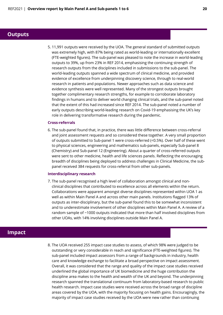### **Outputs**

5. 11,991 outputs were received by the UOA. The general standard of submitted outputs was extremely high, with 87% being rated as world-leading or internationally excellent (FTE-weighted figures). The sub-panel was pleased to note the increase in world-leading outputs to 39%, up from 23% in REF 2014, emphasising the continuing strength of research outputs from the disciplines included in submissions to the sub-panel. The world-leading outputs spanned a wide spectrum of clinical medicine, and provided evidence of excellence from underpinning discovery science, through to real-world research in patients and populations. Newer approaches such as data science and evidence synthesis were well represented. Many of the strongest outputs brought together complimentary research strengths, for example to corroborate laboratory findings in humans and to deliver world changing clinical trials, and the sub-panel noted that the extent of this had increased since REF 2014. The sub-panel noted a number of early outputs describing world-leading research on Covid-19 emphasising the UK's key role in delivering transformative research during the pandemic.

#### **Cross-referrals**

6. The sub-panel found that, in practice, there was little difference between cross-referral and joint assessment requests and so considered these together. A very small proportion of outputs submitted to Sub-panel 1 were cross-referred (<0.5%). Over half of these went to physical sciences, engineering and mathematics sub-panels, especially Sub-panel 8 (Chemistry) and Sub-panel 12 (Engineering). About a quarter of cross-referred outputs were sent to other medicine, health and life sciences panels. Reflecting the encouraging breadth of disciplines being deployed to address challenges in Clinical Medicine, the subpanel received 384 requests for cross-referral from other sub-panels.

#### **Interdisciplinary research**

7. The sub-panel recognised a high level of collaboration amongst clinical and nonclinical disciplines that contributed to excellence across all elements within the return. Collaborations were apparent amongst diverse disciplines represented within UOA 1 as well as within Main Panel A and across other main panels. Institutions flagged 13% of outputs as inter-disciplinary, but the sub-panel found this to be somewhat inconsistent and to underestimate involvement of other disciplines within Main Panel A. A review of a random sample of ~1000 outputs indicated that more than half involved disciplines from other UOAs, with 14% involving disciplines outside Main Panel A.

## **Impact**

8. The UOA received 255 impact case studies to assess, of which 98% were judged to be outstanding or very considerable in reach and significance (FTE-weighted figures). The sub-panel included impact assessors from a range of backgrounds in industry, health care and knowledge exchange to facilitate a broad perspective on impact assessment. Overall, it was considered that the range and quality of the impact case studies received underlined the global importance of UK biomedicine and the huge contribution the discipline area makes to the health and wealth of the UK and beyond. The underpinning research spanned the translational continuum from laboratory-based research to public health research. Impact case studies were received across the broad range of discipline areas covered by the UOA, with the majority focusing on health gains. Encouragingly, the majority of impact case studies received by the UOA were new rather than continuing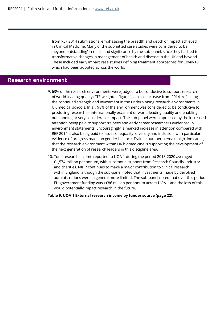from REF 2014 submissions, emphasising the breadth and depth of impact achieved in Clinical Medicine. Many of the submitted case studies were considered to be 'beyond outstanding' in reach and significance by the sub-panel, since they had led to transformative changes in management of health and disease in the UK and beyond. These included early impact case studies defining treatment approaches for Covid-19 which had been adopted across the world.

## **Research environment**

- 9. 63% of the research environments were judged to be conducive to support research of world-leading quality (FTE-weighted figures), a small increase from 2014, reflecting the continued strength and investment in the underpinning research environments in UK medical schools. In all, 98% of the environment was considered to be conducive to producing research of internationally excellent or world-leading quality and enabling outstanding or very considerable impact. The sub-panel were impressed by the increased attention being paid to support trainees and early career researchers evidenced in environment statements. Encouragingly, a marked increase in attention compared with REF 2014 is also being paid to issues of equality, diversity and inclusion, with particular evidence of progress made on gender balance. Trainee numbers remain high, indicating that the research environment within UK biomedicine is supporting the development of the next generation of research leaders in this discipline area.
- 10. Total research income reported to UOA 1 during the period 2013-2020 averaged £1,574 million per annum, with substantial support from Research Councils, industry and charities. NIHR continues to make a major contribution to clinical research within England, although the sub-panel noted that investments made by devolved administrations were in general more limited. The sub-panel noted that over this period EU government funding was >£86 million per annum across UOA 1 and the loss of this would potentially impact research in the future.

**Table 9: UOA 1 External research income by funder source (page 22).**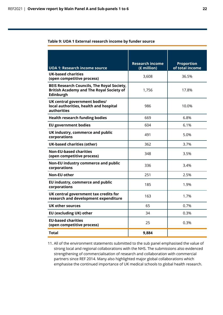#### **Table 9: UOA 1 External research income by funder source**

|                                                                                                                   | <b>Research income</b> | <b>Proportion</b> |
|-------------------------------------------------------------------------------------------------------------------|------------------------|-------------------|
| <b>UOA 1: Research income source</b>                                                                              | (£ million)            | of total income   |
| <b>UK-based charities</b><br>(open competitive process)                                                           | 3,608                  | 36.5%             |
| <b>BEIS Research Councils, The Royal Society,</b><br><b>British Academy and The Royal Society of</b><br>Edinburgh | 1,756                  | 17.8%             |
| UK central government bodies/<br>local authorities, health and hospital<br>authorities                            | 986                    | 10.0%             |
| <b>Health research funding bodies</b>                                                                             | 669                    | 6.8%              |
| <b>EU government bodies</b>                                                                                       | 604                    | 6.1%              |
| UK industry, commerce and public<br>corporations                                                                  | 491                    | 5.0%              |
| <b>UK-based charities (other)</b>                                                                                 | 362                    | 3.7%              |
| <b>Non-EU-based charities</b><br>(open competitive process)                                                       | 348                    | 3.5%              |
| Non-EU industry commerce and public<br>corporations                                                               | 336                    | 3.4%              |
| <b>Non-EU other</b>                                                                                               | 251                    | 2.5%              |
| EU industry, commerce and public<br>corporations                                                                  | 185                    | 1.9%              |
| UK central government tax credits for<br>research and development expenditure                                     | 163                    | 1.7%              |
| <b>UK other sources</b>                                                                                           | 65                     | 0.7%              |
| EU (excluding UK) other                                                                                           | 34                     | 0.3%              |
| <b>EU-based charities</b><br>(open competitive process)                                                           | 25                     | 0.3%              |
| Total                                                                                                             | 9,884                  |                   |

11. All of the environment statements submitted to the sub panel emphasised the value of strong local and regional collaborations with the NHS. The submissions also evidenced strengthening of commercialisation of research and collaboration with commercial partners since REF 2014. Many also highlighted major global collaborations which emphasise the continued importance of UK medical schools to global health research.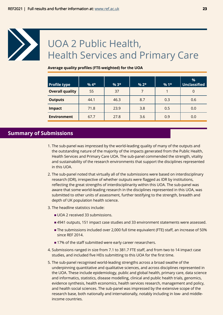<span id="page-22-0"></span>

## UOA 2 Public Health, Health Services and Primary Care

#### **Average quality profiles (FTE-weighted) for the UOA**

| <b>Profile type</b>    | $%4*$ | $%3*$ | $% 2*$ | $%1*$ | %<br><b>Unclassified</b> |
|------------------------|-------|-------|--------|-------|--------------------------|
| <b>Overall quality</b> | 55    | 37    | 7      |       | 0                        |
| <b>Outputs</b>         | 44.1  | 46.3  | 8.7    | 0.3   | 0.6                      |
| <b>Impact</b>          | 71.8  | 23.9  | 3.8    | 0.5   | 0.0                      |
| <b>Environment</b>     | 67.7  | 27.8  | 3.6    | 0.9   | 0.0                      |

## **Summary of Submissions**

- 1. The sub-panel was impressed by the world-leading quality of many of the outputs and the outstanding nature of the majority of the impacts generated from the Public Health, Health Services and Primary Care UOA. The sub-panel commended the strength, vitality and sustainability of the research environments that support the disciplines represented in this UOA.
- 2. The sub-panel noted that virtually all of the submissions were based on interdisciplinary research (IDR), irrespective of whether outputs were flagged as IDR by institutions, reflecting the great strengths of interdisciplinarity within this UOA. The sub-panel was aware that some world-leading research in the disciplines represented in this UOA, was submitted to other units of assessment, further testifying to the strength, breadth and depth of UK population health science.
- 3. The headline statistics include:
	- UOA 2 received 33 submissions.
	- 4941 outputs, 151 impact case studies and 33 environment statements were assessed.
	- The submissions included over 2,000 full time equivalent (FTE) staff, an increase of 50% since REF 2014.
	- 17% of the staff submitted were early career researchers.
- 4. Submissions ranged in size from 7.1 to 381.7 FTE staff, and from two to 14 impact case studies, and included five HEIs submitting to this UOA for the first time.
- 5. The sub-panel recognised world-leading strengths across a broad swathe of the underpinning quantitative and qualitative sciences, and across disciplines represented in the UOA. These include epidemiology, public and global health, primary care, data science and informatics, statistics, disease modelling, clinical and public health trials, genomics, evidence synthesis, health economics, health services research, management and policy, and health social sciences. The sub-panel was impressed by the extensive scope of the research base, both nationally and internationally, notably including in low- and middleincome countries.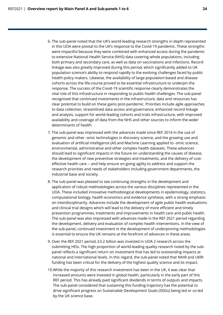- 6. The sub-panel noted that the UK's world-leading research strengths in depth represented in this UOA were pivotal to the UK's response to the Covid-19 pandemic. These strengths were impactful because they were combined with enhanced access during the pandemic to extensive National Health Service (NHS) data covering whole populations, including both primary and secondary care, as well as data on vaccinations and infections. Record linkage was also greatly improved during this period, which significantly added to UK population science's ability to respond rapidly to the evolving challenges faced by public health policy makers. Likewise, the availability of large population-based and disease cohorts across the life-course proved to be essential infrastructure to underpin the response. The success of the Covid-19 scientific response clearly demonstrates the vital role of this infrastructure in responding to public health challenges. The sub-panel recognised that continued investments in the infrastructure, data and resources has clear potential to build on these gains post-pandemic. Priorities include agile approaches to data collection, streamlined data access and governance, enhanced record linkage and analysis, support for world-leading cohorts and trials infrastructure, with improved availability and coverage of data from the NHS and other sources to inform the wider determinants of health.
- 7. The sub-panel was impressed with the advances made since REF 2014 in the use of genomic and other -omic technologies in discovery science, and the growing use and evaluation of artificial intelligence (AI) and Machine Learning applied to -omic science, environmental, administrative and other complex health datasets. These advances should lead to significant impacts in the future on understanding the causes of disease, the development of new preventive strategies and treatments, and the delivery of costeffective health care -- and help ensure on-going agility to address and support the research priorities and needs of stakeholders including government departments, the industrial base and society.
- 8. The sub-panel was pleased to see continuing strengths in the development and application of robust methodologies across the various disciplines represented in the UOA. These included innovative methodological developments in epidemiology, statistics, computational biology, health economics and evidence synthesis, with a strong emphasis on interdisciplinarity. Advances include the development of agile public health evaluations and clinical trial designs which will lead to the delivery of more efficient and timely prevention programmes, treatments and improvements in health care and public health. The sub-panel was also impressed with advances made in the REF 2021 period regarding the development, delivery and evaluation of complex health interventions. In the view of the sub-panel, continued investment in the development of underpinning methodologies is essential to ensure the UK remains at the forefront of advances in these areas.
- 9. Over the REF 2021 period, £3.2 billion was invested in UOA 2 research across the submitting HEIs. The high proportion of world-leading quality research noted by the subpanel reflects a significant return on investment that has led to outstanding impacts at national and international levels. In this regard, the sub-panel noted that NIHR and UKRI funding has been critical for the delivery of the highest quality science and its impact.
- 10.While the majority of this research investment has been in the UK, it was clear that increased amounts were invested in global health, particularly in the early part of this REF period. This has already paid significant dividends in terms of outputs and impacts. The sub-panel considered that sustaining this funding trajectory has the potential to drive significant progress on Sustainable Development Goals (SDGs) being led or co-led by the UK science base.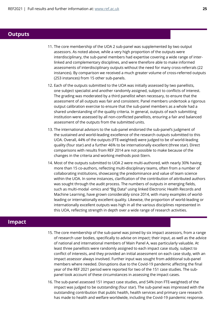### **Outputs**

- 11. The core membership of the UOA 2 sub-panel was supplemented by two output assessors. As noted above, while a very high proportion of the outputs were interdisciplinary, the sub-panel members had expertise covering a wide range of interlinked and complementary disciplines, and were therefore able to make informed assessments of interdisciplinary outputs without the need for many cross-referrals (22 instances). By comparison we received a much greater volume of cross-referred outputs (253 instances) from 15 other sub-panels.
- 12. Each of the outputs submitted to the UOA was initially assessed by two panellists, one subject specialist and another randomly assigned, subject to conflicts of interest. The grading was moderated by a third panellist when necessary, to ensure that the assessment of all outputs was fair and consistent. Panel members undertook a rigorous output calibration exercise to ensure that the sub-panel members as a whole had a shared understanding of the quality criteria. In general, outputs of each submitting institution were assessed by all non-conflicted panellists, ensuring a fair and balanced assessment of the outputs from the submitted units.
- 13. The international advisors to the sub-panel endorsed the sub-panel's judgment of the sustained and world-leading excellence of the research outputs submitted to this UOA. Overall, 44% of the outputs (FTE-weighted) were judged to be of world-leading quality (four star) and a further 46% to be internationally excellent (three star). Direct comparisons with results from REF 2014 are not possible to make because of the changes in the criteria and working methods post-Stern.
- 14. Most of the outputs submitted to UOA 2 were multi-authored, with nearly 30% having more than 15 co-authors, reflecting multi-disciplinary teams, often from a number of collaborating institutions, showcasing the predominance and value of team science within the UOA. In some instances, clarification of the contribution of attributed authors was sought through the audit process. The numbers of outputs in emerging fields, such as multi-modal -omics and "Big Data" using linked Electronic Health Records and Machine Learning, have grown considerably since 2014, with many examples of worldleading or internationally excellent quality. Likewise, the proportion of world-leading or internationally excellent outputs was high in all the various disciplines represented in this UOA, reflecting strength in depth over a wide range of research activities.

## **Impact**

- 15. The core membership of the sub-panel was joined by six impact assessors, from a range of research user bodies, specifically to advise on impact; their input, as well as the advice of national and international members of Main Panel A, was particularly valuable. At least three panellists were randomly assigned to each impact case study, subject to conflict of interests, and they provided an initial assessment on each case study, with an impact assessor always involved. Further input was sought from additional sub-panel members where needed. Disruptions due to the Covid-19 pandemic affecting the final year of the REF 2021 period were reported for two of the 151 case studies. The subpanel took account of these circumstances in assessing the impact cases.
- 16. The sub-panel assessed 151 impact case studies, and 54% (non FTE-weighted) of the impact was judged to be outstanding (four star). The sub-panel was impressed with the outstanding contribution that public health, health services and primary care research has made to health and welfare worldwide, including the Covid-19 pandemic response.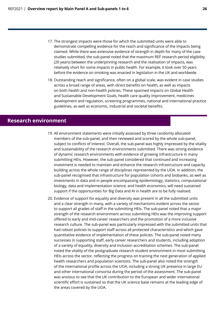- 17. The strongest impacts were those for which the submitted units were able to demonstrate compelling evidence for the reach and significance of the impacts being claimed. While there was extensive evidence of strength in depth for many of the case studies submitted, the sub-panel noted that the maximum REF research period eligibility (20 years) between the underpinning research and the realisation of impacts, was relatively short for some impacts in public health. For example, it took over 50 years before the evidence on smoking was enacted in legislation in the UK and worldwide.
- 18. Outstanding reach and significance, often on a global scale, was evident in case studies across a broad range of areas, with direct benefits on health, as well as impacts on both health and non-health policies. These spanned impacts on Global Health and Sustainable Development Goals, health care quality improvement, medicines development and regulation, screening programmes, national and international practice guidelines, as well as economic, industrial and societal benefits.

## **Research environment**

- 19. All environment statements were initially assessed by three randomly allocated members of the sub-panel, and then reviewed and scored by the whole sub-panel, subject to conflicts of interest. Overall, the sub-panel was highly impressed by the vitality and sustainability of the research environments submitted. There was strong evidence of dynamic research environments with evidence of growing infrastructure in many submitting HEIs. However, the sub-panel considered that continued and increasing investment is needed to maintain and enhance the research infrastructure and capacity building across the whole range of disciplines represented by the UOA. In addition, the sub-panel recognised that infrastructure for population cohorts and biobanks, as well as investments in data and in people encompassing epidemiology, statistics, computational biology, data and implementation science, and health economics, will need sustained support if the opportunities for Big Data and AI in health are to be fully realised.
- 20. Evidence of support for equality and diversity was present in all the submitted units and a clear strength in many, with a variety of mechanisms evident across the sector to support all grades of staff in the submitting HEIs. The sub-panel noted that a major strength of the research environment across submitting HEIs was the improving support offered to early and mid-career researchers and the promotion of a more inclusive research culture. The sub-panel was particularly impressed with the submitted units that had robust policies to support staff across all protected characteristics and which gave quantitative evidence of implementation of these policies. The sub-panel noted many successes in supporting staff, early career researchers and students, including adoption of a variety of equality, diversity and inclusion accreditation schemes. The sub-panel noted the vitality of the postgraduate research student environment in most submitting HEIs across the sector, reflecting the progress on training the next generation of applied health researchers and population scientists. The sub-panel also noted the strength of the international profile across the UOA, including a strong UK presence in large EU and other international consortia during the period of the assessment. The sub-panel was anxious to see that the UK contribution to the European and wider international scientific effort is sustained so that the UK science base remains at the leading edge of the areas covered by the UOA.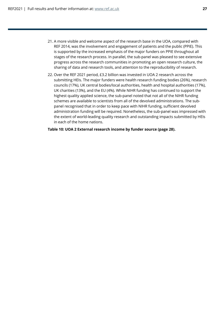- 21. A more visible and welcome aspect of the research base in the UOA, compared with REF 2014, was the involvement and engagement of patients and the public (PPIE). This is supported by the increased emphasis of the major funders on PPIE throughout all stages of the research process. In parallel, the sub-panel was pleased to see extensive progress across the research communities in promoting an open research culture, the sharing of data and research tools, and attention to the reproducibility of research.
- 22. Over the REF 2021 period, £3.2 billion was invested in UOA 2 research across the submitting HEIs. The major funders were health research funding bodies (26%), research councils (17%), UK central bodies/local authorities, health and hospital authorities (17%), UK charities (13%), and the EU (4%). While NIHR funding has continued to support the highest quality applied science, the sub-panel noted that not all of the NIHR funding schemes are available to scientists from all of the devolved administrations. The subpanel recognised that in order to keep pace with NIHR funding, sufficient devolved administration funding will be required. Nonetheless, the sub-panel was impressed with the extent of world-leading quality research and outstanding impacts submitted by HEIs in each of the home nations.

**Table 10: UOA 2 External research income by funder source (page 28).**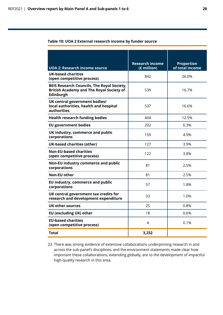#### **Table 10: UOA 2 External research income by funder source**

|                                                                                                                   | <b>Research income</b> | <b>Proportion</b> |
|-------------------------------------------------------------------------------------------------------------------|------------------------|-------------------|
| <b>UOA 2: Research income source</b>                                                                              | (£ million)            | of total income   |
| <b>UK-based charities</b><br>(open competitive process)                                                           | 842                    | 26.0%             |
| <b>BEIS Research Councils, The Royal Society,</b><br><b>British Academy and The Royal Society of</b><br>Edinburgh | 539                    | 16.7%             |
| UK central government bodies/<br>local authorities, health and hospital<br><b>authorities</b>                     | 537                    | 16.6%             |
| <b>Health research funding bodies</b>                                                                             | 404                    | 12.5%             |
| <b>EU government bodies</b>                                                                                       | 202                    | 6.3%              |
| UK industry, commerce and public<br>corporations                                                                  | 159                    | 4.9%              |
| <b>UK-based charities (other)</b>                                                                                 | 127                    | 3.9%              |
| <b>Non-EU-based charities</b><br>(open competitive process)                                                       | 122                    | 3.8%              |
| Non-EU industry commerce and public<br>corporations                                                               | 81                     | 2.5%              |
| <b>Non-EU other</b>                                                                                               | 81                     | 2.5%              |
| EU industry, commerce and public<br>corporations                                                                  | 57                     | 1.8%              |
| UK central government tax credits for<br>research and development expenditure                                     | 33                     | 1.0%              |
| UK other sources                                                                                                  | 25                     | 0.8%              |
| EU (excluding UK) other                                                                                           | 18                     | 0.6%              |
| <b>EU-based charities</b><br>(open competitive process)                                                           | 4                      | 0.1%              |
| Total                                                                                                             | 3,232                  |                   |

23. There was strong evidence of extensive collaborations underpinning research in and across the sub-panel's disciplines, and the environment statements made clear how important these collaborations, extending globally, are to the development of impactful high-quality research in this area.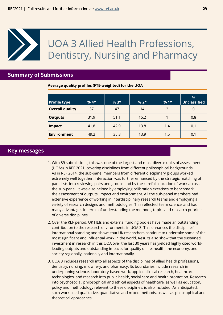## <span id="page-28-0"></span>UOA 3 Allied Health Professions, Dentistry, Nursing and Pharmacy

## **Summary of Submissions**

**Average quality profiles (FTE-weighted) for the UOA**

| <b>Profile type</b>    | $%4*$ | $%3*$ | $% 2*$ | $%1*$ | $\%$<br>Unclassified |
|------------------------|-------|-------|--------|-------|----------------------|
| <b>Overall quality</b> | 37    | 47    | 14     | 2     | 0                    |
| <b>Outputs</b>         | 31.9  | 51.1  | 15.2   |       | 0.8                  |
| <b>Impact</b>          | 41.8  | 42.9  | 13.8   | 1.4   | 0.1                  |
| <b>Environment</b>     | 49.2  | 35.3  | 13.9   | 1.5   | 0.1                  |

## **Key messages**

- 1. With 89 submissions, this was one of the largest and most diverse units of assessment (UOAs) in REF 2021, covering disciplines from different philosophical backgrounds. As in REF 2014, the sub-panel members from different disciplinary groups worked extremely well together. Interaction was further enhanced by the strategic matching of panellists into reviewing pairs and groups and by the careful allocation of work across the sub-panel. It was also helped by employing calibration exercises to benchmark the assessment of outputs, impact and environment. All the sub-panel members had extensive experience of working in interdisciplinary research teams and employing a variety of research designs and methodologies. This reflected 'team science' and had many advantages in terms of understanding the methods, topics and research priorities of diverse disciplines.
- 2. Over the REF period, UK HEIs and external funding bodies have made an outstanding contribution to the research environments in UOA 3. This enhances the disciplines' international standing and shows that UK researchers continue to undertake some of the most significant and influential work in the world. Results also show that the sustained investment in research in this UOA over the last 30 years has yielded highly cited worldleading outputs and outstanding impacts for quality of life, health, the economy, and society regionally, nationally and internationally.
- 3. UOA 3 includes research into all aspects of the disciplines of allied health professions, dentistry, nursing, midwifery, and pharmacy. Its boundaries include research in underpinning science, laboratory-based work, applied clinical research, healthcare technologies, and research into public health, social care and health promotion. Research into psychosocial, philosophical and ethical aspects of healthcare, as well as education, policy and methodology relevant to these disciplines, is also included. As anticipated, such work used qualitative, quantitative and mixed methods, as well as philosophical and theoretical approaches.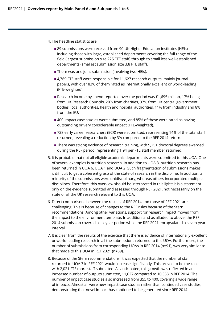- 4. The headline statistics are:
	- 89 submissions were received from 90 UK Higher Education institutes (HEIs) including those with large, established departments covering the full range of the field (largest submission size 225 FTE staff) through to small less well-established departments (smallest submission size 3.8 FTE staff).
	- **There was one joint submission (involving two HEIs).**
	- 4,769 FTE staff were responsible for 11,627 research outputs, mainly journal papers, with over 83% of them rated as internationally excellent or world-leading (FTE-weighted).
	- Research income by spend reported over the period was £1,695 million, 17% being from UK Research Councils, 20% from charities, 37% from UK central government bodies, local authorities, health and hospital authorities, 11% from industry and 8% from the EU.
	- 400 impact case studies were submitted, and 85% of these were rated as having outstanding or very considerable impact (FTE-weighted).
	- 738 early career researchers (ECR) were submitted, representing 14% of the total staff returned, revealing a reduction by 3% compared to the REF 2014 return.
	- There was strong evidence of research training, with 9,251 doctoral degrees awarded during the REF period, representing 1.94 per FTE staff member returned.
- 5. It is probable that not all eligible academic departments were submitted to this UOA. One of several examples is nutrition research. In addition to UOA 3, nutrition research has been returned in UOA 6, UOA 1 and UOA 2. Such fragmentation of submissions makes it difficult to get a coherent grasp of the state of research in the discipline. In addition, a minority of the submissions were unidisciplinary, whereas others incorporated multiple disciplines. Therefore, this overview should be interpreted in this light: it is a statement only on the evidence submitted and assessed through REF 2021, not necessarily on the state of all the UK research relevant to this UOA.
- 6. Direct comparisons between the results of REF 2014 and those of REF 2021 are challenging. This is because of changes to the REF rules because of the Stern recommendations. Among other variations, support for research impact moved from the impact to the environment template. In addition, and as alluded to above, the REF 2014 submission covered a six-year period while the REF 2021 encapsulated a seven-year interval.
- 7. It is clear from the results of the exercise that there is evidence of internationally excellent or world-leading research in all the submissions returned to this UOA. Furthermore, the number of submissions from corresponding UOAs in REF 2014 (n=91), was very similar to that made to this UOA in REF 2021 (n=89).
- 8. Because of the Stern recommendations, it was expected that the number of staff returned to UOA 3 in REF 2021 would increase significantly. This proved to be the case with 2,021 FTE more staff submitted. As anticipated, this growth was reflected in an increased number of outputs submitted, 11,627 compared to 10,358 in REF 2014. The number of impact case studies also increased from 355 to 400, covering a wide range of impacts. Almost all were new impact case studies rather than continued case studies, demonstrating that novel impact has continued to be generated since REF 2014.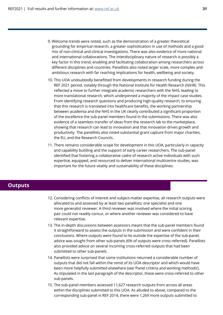- 9. Welcome trends were noted, such as the demonstration of a greater theoretical grounding for empirical research, a greater sophistication in use of methods and a good mix of non-clinical and clinical investigations. There was also evidence of more national and international collaborations. The interdisciplinary nature of research is possibly a key factor in this trend, enabling and facilitating collaboration among researchers across different disciplines and countries. Panellists also noted larger scale, more complex and ambitious research with far reaching implications for health, wellbeing and society.
- 10. This UOA undoubtedly benefitted from developments in research funding during the REF 2021 period, notably through the National Institute for Health Research (NIHR). This reflected a move to further integrate academic researchers with the NHS, leading to more translational research, which underpinned a majority of the impact case studies. From identifying research questions and producing high-quality research, to ensuring that this research is translated into healthcare benefits, the working partnership between academia and the NHS in the UK clearly contributed a significant proportion of the excellence the sub-panel members found in the submissions. There was also evidence of a seamless transfer of ideas from the research lab to the marketplace, showing that research can lead to innovation and that innovation drives growth and productivity. The panellists also noted substantial grant capture from major charities, the EU, and the Research Councils.
- 11. There remains considerable scope for development in this UOA, particularly in capacity and capability building and the support of early career researchers. The sub-panel identified that fostering a collaborative cadre of research active individuals with such expertise, equipped, and resourced to deliver international multicentre studies, was important for the future vitality and sustainability of these disciplines.

## **Outputs**

- 12. Considering conflicts of interest and subject-matter expertise, all research outputs were allocated to and assessed by at least two panellists; one specialist and one more generalist reviewer. A third reviewer was involved where the initial scoring pair could not readily concur, or where another reviewer was considered to have relevant expertise.
- 13. The in-depth discussions between assessors meant that the sub-panel members found it straightforward to assess the outputs in the submission and were confident in their conclusions. Where outputs were found to lie outside the expertise of the sub-panel, advice was sought from other sub-panels (6% of outputs were cross referred). Panellists also provided advice on several incoming cross-referred outputs that had been submitted to other sub-panels.
- 14. Panellists were surprised that some institutions returned a considerable number of outputs that did not fall within the remit of its UOA descriptor and which would have been more helpfully submitted elsewhere (see 'Panel criteria and working methods'). As stipulated in the last paragraph of the descriptor, these were cross-referred to other sub-panels.
- 15. The sub-panel members assessed 11,627 research outputs from across all areas within the disciplines submitted to this UOA. As alluded to above, compared to the corresponding sub-panel in REF 2014, there were 1,269 more outputs submitted to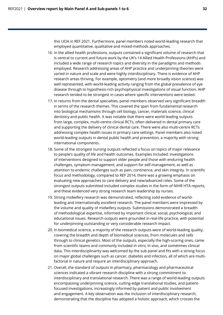this UOA in REF 2021. Furthermore, panel members noted world-leading research that employed quantitative, qualitative and mixed-methods approaches.

- 16. In the allied health professions, outputs contained a significant volume of research that is central to current and future work by the UK's 14 Allied Health Professions (AHPs) and included a wide range of research topics and diversity in the paradigms and methods employed. Research addressing areas of AHP practice and underpinning theories were varied in nature and scale and were highly interdisciplinary. There is evidence of AHP research areas thriving. For example, optometry (and more broadly vision science) was well represented, with world-leading activity ranging from the global prevalence of eye disease through to hypothesis-rich psychophysical investigations of visual function. AHP research tended to be strongest in cases where specific interventions were tested.
- 17. In returns from the dental specialties, panel members observed very significant breadth in terms of the research themes. This covered the span from fundamental research into biological mechanisms through cell biology, cancer, materials science, clinical dentistry and public health. It was notable that there were world leading outputs from large, complex, multi-centre clinical RCTs, often delivered in dental primary care and supporting the delivery of clinical dental care. There were also multi-centre RCTs addressing complex health issues in primary care settings. Panel members also noted world-leading outputs in dental public health and prevention, a majority with strong international components.
- 18. Some of the strongest nursing outputs reflected a focus on topics of major relevance to people's quality of life and health outcomes. Examples included: investigations of interventions designed to support older people and those with enduring health challenges, symptom management, and support for self-management, as well as attention to endemic challenges such as pain, continence, and skin integrity. In scientific focus and methodology, compared to REF 2014, there was a growing emphasis on evaluating new approaches to care delivery and new/advanced roles. Some of the strongest outputs submitted included complex studies in the form of NIHR HTA reports, and these evidenced very strong research team leadership by nurses.
- 19. Strong midwifery research was demonstrated, reflecting solid evidence of worldleading and internationally excellent research. The panel members were impressed by the volume and quality of midwifery outputs. Submissions demonstrated a breadth of methodological expertise, informed by important clinical, social, psychological, and educational issues. Research outputs were grounded in real-life practice, with potential for underpinning outstanding or very considerable research impact.
- 20. In biomedical science, a majority of the research outputs were of world-leading quality, covering the breadth and depth of biomedical sciences, from molecules and cells through to clinical genetics. Most of the outputs, especially the high-scoring ones, came from scientific teams and commonly included in vitro, in vivo, and sometimes clinical data. This interdisciplinarity was welcomed by the sub panel and fits with a strong focus on major global challenges such as cancer, diabetes and infection, all of which are multifactorial in nature and require an interdisciplinary approach.
- 21. Overall, the standard of outputs in pharmacy, pharmacology and pharmaceutical sciences indicated a vibrant research discipline with a strong commitment to interdisciplinary and translational research. There was a range of world-leading outputs encompassing underpinning science, cutting-edge translational studies, and patientfocused investigations, increasingly informed by patient and public involvement and engagement. A key observation was the inclusion of interdisciplinary research, demonstrating that the discipline has adopted a holistic approach, which crosses the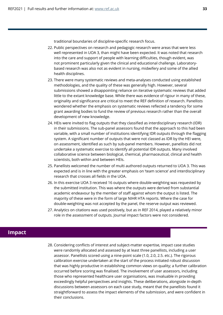traditional boundaries of discipline-specific research focus.

- 22. Public perspectives on research and pedagogic research were areas that were less well represented in UOA 3, than might have been expected. It was noted that research into the care and support of people with learning difficulties, though evident, was not prominent particularly given the clinical and educational challenge. Laboratorybased research was also not as evident in nursing, midwifery and some of the allied health disciplines.
- 23. There were many systematic reviews and meta-analyses conducted using established methodologies, and the quality of these was generally high. However, several submissions showed a disappointing reliance on iterative systematic reviews that added little to the extant knowledge base. While there was evidence of rigour in many of these, originality and significance are critical to meet the REF definition of research. Panellists wondered whether the emphasis on systematic reviews reflected a tendency for some grant awarding bodies to fund the review of previous research rather than the overall development of new knowledge.
- 24. HEIs were invited to flag outputs that they classified as interdisciplinary research (IDR) in their submissions. The sub-panel assessors found that the approach to this had been variable, with a small number of institutions identifying IDR outputs through the flagging system. A significant number of outputs that were not classed as IDR by the HEI were, on assessment, identified as such by sub-panel members. However, panellists did not undertake a systematic exercise to identify all potential IDR outputs. Many involved collaborative science between biological, chemical, pharmaceutical, clinical and health scientists, both within and between HEIs.
- 25. Panellists welcomed the number of multi authored outputs returned to UOA 3. This was expected and is in line with the greater emphasis on 'team science' and interdisciplinary research that crosses all fields in the UOA.
- 26. In this exercise UOA 3 received 16 outputs where double-weighting was requested by the submitted institution. This was where the outputs were derived from substantial academic endeavour by the member of staff against whom the output is listed. The majority of these were in the form of large NIHR HTA reports. Where the case for double-weighting was not accepted by the panel, the reserve output was reviewed.
- 27. Analytics on citations was used positively, but as in REF 2014, played a relatively minor role in the assessment of outputs. Journal impact factors were not considered.

## **Impact**

28. Considering conflicts of interest and subject-matter expertise, impact case studies were randomly allocated and assessed by at least three panellists, including a user assessor. Panellists scored using a nine-point scale (1.0, 2.0, 2.5. etc.). The rigorous calibration exercise undertaken at the start of the process initiated robust discussion that was highly productive in establishing common views on quality; a further calibration occurred before scoring was finalised. The involvement of user assessors, including those who represented healthcare user organisations, was invaluable in providing exceedingly helpful perspectives and insights. These deliberations, alongside in-depth discussions between assessors on each case study, meant that the panellists found it straightforward to assess the impact elements of the submission, and were confident in their conclusions.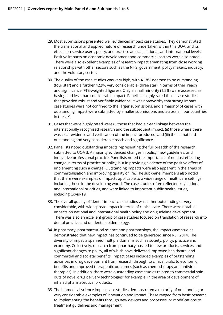- 29. Most submissions presented well-evidenced impact case studies. They demonstrated the translational and applied nature of research undertaken within this UOA, and its effects on service users, policy, and practice at local, national, and international levels. Positive impacts on economic development and commercial sectors were also noted. There were also excellent examples of research impact emanating from close working relationships with other sectors such as the NHS, government, policy makers, industry, and the voluntary sector.
- 30. The quality of the case studies was very high, with 41.8% deemed to be outstanding (four star) and a further 42.9% very considerable (three star) in terms of their reach and significance (FTE-weighted figures). Only a small minority (1.5%) were assessed as having had less than considerable impact. Panellists highly rated those case studies that provided robust and verifiable evidence. It was noteworthy that strong impact case studies were not confined to the larger submissions, and a majority of cases with outstanding impact were submitted by smaller submissions and across all four countries in the UK.
- 31. Cases that were highly rated were (i) those that had a clear linkage between the internationally recognised research and the subsequent impact, (ii) those where there was clear evidence and verification of the impact produced, and (iii) those that had outstanding and very considerable reach and significance.
- 32. Panellists noted outstanding impacts representing the full breadth of the research submitted to UOA 3. A majority evidenced changes in policy, new guidelines, and innovative professional practice. Panellists noted the importance of not just effecting change in terms of practice or policy, but in providing evidence of the positive effect of implementing such a change. Outstanding impacts were also apparent in the areas of commercialisation and improving quality of life. The sub-panel members also noted that there were examples of impacts applicable to a wide range of healthcare settings, including those in the developing world. The case studies often reflected key national and international priorities, and were linked to important public health issues, including Covid-19.
- 33. The overall quality of 'dental' impact case studies was either outstanding or very considerable, with widespread impact in terms of clinical care. There were notable impacts on national and international health policy and on guideline development. There was also an excellent group of case studies focused on translation of research into dental practice and on dental epidemiology.
- 34. In pharmacy, pharmaceutical science and pharmacology, the impact case studies demonstrated that new impact has continued to be generated since REF 2014. The diversity of impacts spanned multiple domains such as society, policy, practice and economy. Collectively, research from pharmacy has led to new products, services and significant changes to policy, all of which have delivered improved healthcare, and commercial and societal benefits. Impact cases included examples of outstanding advances in drug development from research through to clinical trials, to economic benefits and improved therapeutic outcomes (such as chemotherapy and antiviral therapies). In addition, there were outstanding case studies related to commercial spinouts of novel drug delivery technologies; for example, in the area of development of inhaled pharmaceutical products.
- 35. The biomedical science impact case studies demonstrated a majority of outstanding or very considerable examples of innovation and impact. These ranged from basic research to implementing the benefits through new devices and processes, or modifications to treatment guidelines and management.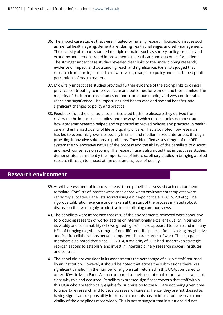- 36. The impact case studies that were initiated by nursing research focused on issues such as mental health, ageing, dementia, enduring health challenges and self-management. The diversity of impact spanned multiple domains such as society, policy, practice and economy and demonstrated improvements in healthcare and outcomes for patients. The stronger impact case studies revealed clear links to the underpinning research, evidence of impact, and outstanding reach and significance. Panellists judged that research from nursing has led to new services, changes to policy and has shaped public perceptions of health matters.
- 37. Midwifery impact case studies provided further evidence of the strong links to clinical practice, contributing to improved care and outcomes for women and their families. The majority of the impact case studies demonstrated outstanding and very considerable reach and significance. The impact included health care and societal benefits, and significant changes to policy and practice.
- 38. Feedback from the user assessors articulated both the pleasure they derived from reviewing the impact case studies, and the way in which those studies demonstrated how academic research helped and supported improved policies and practices in health care and enhanced quality of life and quality of care. They also noted how research has led to economic growth, especially in small and medium-sized enterprises, through providing innovative solutions to problems. They identified as a strength of the REF system the collaborative nature of the process and the ability of the panellists to discuss and reach consensus on scoring. The research users also noted that impact case studies demonstrated consistently the importance of interdisciplinary studies in bringing applied research through to impact at the outstanding level of quality.

## **Research environment**

- 39. As with assessment of impacts, at least three panellists assessed each environment template. Conflicts of interest were considered when environment templates were randomly allocated. Panellists scored using a nine-point scale (1.0,1.5, 2.0 etc.). The rigorous calibration exercise undertaken at the start of the process initiated robust discussion that was highly productive in establishing common views.
- 40. The panellists were impressed that 85% of the environments reviewed were conducive to producing research of world-leading or internationally excellent quality, in terms of its vitality and sustainability (FTE weighted figure). There appeared to be a trend in many HEIs of bringing together strengths from different disciplines, often involving imaginative and fruitful collaborations between apparent disparate areas of work. The sub-panel members also noted that since REF 2014, a majority of HEIs had undertaken strategic reorganisations to establish, and invest in, interdisciplinary research spaces, institutes and centres.
- 41. The panel did not consider in its assessments the percentage of eligible staff returned by an institution. However, it should be noted that across the submissions there was significant variation in the number of eligible staff returned in this UOA, compared to other UOAs in Main Panel A, and compared to their institutional return rates. It was not clear why this had occurred. Panellists expressed significant concern that staff within this UOA who are technically eligible for submission to the REF are not being given time to undertake research and to develop research careers. Hence, they are not classed as having significant responsibility for research and this has an impact on the health and vitality of the disciplines more widely. This is not to suggest that institutions did not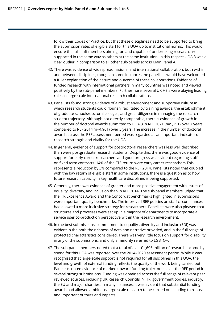follow their Codes of Practice, but that these disciplines need to be supported to bring the submission rates of eligible staff for this UOA up to institutional norms. This would ensure that all staff members aiming for, and capable of undertaking research, are supported in the same way as others at the same institution. In this respect UOA 3 was a clear outlier in comparison to all other sub-panels across Main Panel A.

- 42. There was evidence of widespread national and international collaboration, both within and between disciplines, though in some instances the panellists would have welcomed a fuller explanation of the nature and outcome of these collaborations. Evidence of funded research with international partners in many countries was noted and viewed positively by the sub-panel members. Furthermore, several UK HEIs were playing leading roles in large-scale international research collaborations.
- 43. Panellists found strong evidence of a robust environment and supportive culture in which research students could flourish, facilitated by training awards, the establishment of graduate schools/doctoral colleges, and great diligence in managing the research student trajectory. Although not directly comparable, there is evidence of growth in the number of doctoral awards submitted to UOA 3 in REF 2021 (n=9,251) over 7 years, compared to REF 2014 (n=4,961) over 5 years. The increase in the number of doctoral awards across the REF assessment period was regarded as an important indicator of research strength and vitality for the UOA.
- 44. In general, evidence of support for postdoctoral researchers was less well described than were postgraduate research students. Despite this, there was good evidence of support for early career researchers and good progress was evident regarding staff on fixed term contracts. 14% of the FTE return were early career researchers This represents a reduction by 3% compared to the REF 2014. Panellists noted that coupled with the low return of eligible staff in some institutions, there is a question as to how future research capacity in key healthcare disciplines is being supported.
- 45. Generally, there was evidence of greater and more positive engagement with issues of equality, diversity, and inclusion than in REF 2014. The sub-panel members judged that the HR Excellence Award and the Concordat benchmarks highlighted in submissions were important quality benchmarks. The improved REF policies on staff circumstances had allowed a more inclusive strategy for researchers. Panellists were also pleased that structures and processes were set up in a majority of departments to incorporate a service user co-production perspective within the research environment.
- 46. In the best submissions, commitment to equality , diversity and inclusion (EDI) was evident in the both the richness of data and narrative provided, and in the full range of protected characteristics considered. There was very little focus on support for disability in any of the submissions, and only a minority referred to LGBTQ+.
- 47. The sub-panel members noted that a total of over £1,695 million of research income by spend for this UOA was reported over the 2014–2020 assessment period. While it was recognised that large-scale support is not required for all disciplines in this UOA, the level and growth of external funding reflects the quality of the work being carried out. Panellists noted evidence of marked upward funding trajectories over the REF period in several strong submissions. Funding was obtained across the full range of relevant peer reviewed sources, including UK Research Councils, NIHR, government bodies, industry, the EU and major charities. In many instances, it was evident that substantial funding awards had allowed ambitious large-scale research to be carried out, leading to robust and important outputs and impacts.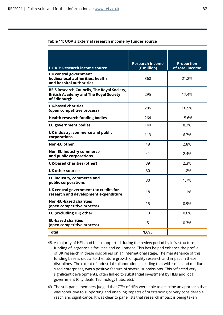| Table 11: UOA 3 External research income by funder source |  |  |  |  |
|-----------------------------------------------------------|--|--|--|--|
|-----------------------------------------------------------|--|--|--|--|

|                                                                                                                   | <b>Research income</b> | <b>Proportion</b> |
|-------------------------------------------------------------------------------------------------------------------|------------------------|-------------------|
| <b>UOA 3: Research income source</b>                                                                              | (£ million)            | of total income   |
| <b>UK central government</b><br>bodies/local authorities, health<br>and hospital authorities                      | 360                    | 21.2%             |
| <b>BEIS Research Councils, The Royal Society,</b><br><b>British Academy and The Royal Society</b><br>of Edinburgh | 295                    | 17.4%             |
| <b>UK-based charities</b><br>(open competitive process)                                                           | 286                    | 16.9%             |
| <b>Health research funding bodies</b>                                                                             | 264                    | 15.6%             |
| <b>EU government bodies</b>                                                                                       | 140                    | 8.3%              |
| UK industry, commerce and public<br>corporations                                                                  | 113                    | 6.7%              |
| <b>Non-EU other</b>                                                                                               | 48                     | 2.8%              |
| <b>Non-EU industry commerce</b><br>and public corporations                                                        | 41                     | 2.4%              |
| <b>UK-based charities (other)</b>                                                                                 | 39                     | 2.3%              |
| UK other sources                                                                                                  | 30                     | 1.8%              |
| EU industry, commerce and<br>public corporations                                                                  | 30                     | 1.7%              |
| UK central government tax credits for<br>research and development expenditure                                     | 18                     | 1.1%              |
| <b>Non-EU-based charities</b><br>(open competitive process)                                                       | 15                     | 0.9%              |
| <b>EU (excluding UK) other</b>                                                                                    | 10                     | 0.6%              |
| <b>EU-based charities</b><br>(open competitive process)                                                           | 5                      | 0.3%              |
| Total                                                                                                             | 1,695                  |                   |

- 48. A majority of HEIs had been supported during the review period by infrastructure funding of larger-scale facilities and equipment. This has helped enhance the profile of UK research in these disciplines on an international stage. The maintenance of this funding base is crucial to the future growth of quality research and impact in these disciplines. The extent of industrial collaboration, including that with small and mediumsized enterprises, was a positive feature of several submissions. This reflected very significant developments, often linked to substantial investment by HEIs and local government (City deals, Technology hubs, etc).
- 49. The sub-panel members judged that 77% of HEIs were able to describe an approach that was conducive to supporting and enabling impacts of outstanding or very considerable reach and significance. It was clear to panellists that research impact is being taken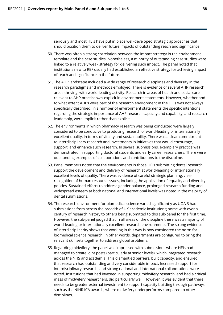seriously and most HEIs have put in place well-developed strategic approaches that should position them to deliver future impacts of outstanding reach and significance.

- 50. There was often a strong correlation between the impact strategy in the environment template and the case studies. Nonetheless, a minority of outstanding case studies were linked to a relatively weak strategy for delivering such impact. The panel noted that institutions new to REF usually had established an effective strategy for achieving impact of reach and significance in the future.
- 51. The AHP landscape included a wide range of research disciplines and diversity in the research paradigms and methods employed. There is evidence of several AHP research areas thriving, with world-leading activity. Research in areas of health and social care relevant to AHP practice was explicit in environment statements. However, whether and to what extent AHPs were part of the research environment in the HEIs was not always specifically described. In a number of environment statements the specific intentions regarding the strategic importance of AHP research capacity and capability, and research leadership, were implicit rather than explicit.
- 52. The environments in which pharmacy research was being conducted were largely considered to be conducive to producing research of world-leading or internationally excellent quality, in terms of vitality and sustainability. There was a clear commitment to interdisciplinary research and investments in initiatives that would encourage, support, and enhance such research. In several submissions, exemplary practice was demonstrated in supporting doctoral students and early career researchers. There were outstanding examples of collaborations and contributions to the discipline.
- 53. Panel members noted that the environments in those HEIs submitting dental research support the development and delivery of research at world-leading or internationally excellent levels of quality. There was evidence of careful strategic planning, clear recognition of human resource issues, including the application of equality and diversity policies. Sustained efforts to address gender balance, prolonged research funding and widespread esteem at both national and international levels was noted in the majority of dental submissions.
- 54. The research environment for biomedical science varied significantly as UOA 3 had submissions from across the breadth of UK academic institutions; some with over a century of research history to others being submitted to this sub-panel for the first time. However, the sub-panel judged that in all areas of the discipline there was a majority of world-leading or internationally excellent research environments. The strong evidence of interdisciplinarity shows that working in this way is now considered the norm for biomedical science research. In other words, departments are configured to bring the relevant skill sets together to address global problems.
- 55. Regarding midwifery, the panel was impressed with submissions where HEIs had managed to create joint posts (particularly at senior levels), which integrated research across the NHS and academia. This dismantled barriers, built capacity, and ensured that research had outstanding and very considerable impact. Increased support for interdisciplinary research, and strong national and international collaborations were noted. Institutions that had invested in supporting midwifery research, and had a critical mass of midwifery researchers, did particularly well. However, it was evident that there needs to be greater external investment to support capacity building through pathways such as the NIHR ICA awards, where midwifery underperforms compared to other disciplines.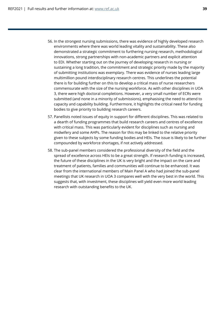- 56. In the strongest nursing submissions, there was evidence of highly developed research environments where there was world leading vitality and sustainability. These also demonstrated a strategic commitment to furthering nursing research, methodological innovations, strong partnerships with non-academic partners and explicit attention to EDI. Whether starting out on the journey of developing research in nursing or sustaining a long tradition, the commitment and strategic priority made by the majority of submitting institutions was exemplary. There was evidence of nurses leading large multimillion pound interdisciplinary research centres. This underlines the potential there is for building further on this to develop a critical mass of nurse researchers commensurate with the size of the nursing workforce. As with other disciplines in UOA 3, there were high doctoral completions. However, a very small number of ECRs were submitted (and none in a minority of submissions), emphasising the need to attend to capacity and capability building. Furthermore, it highlights the critical need for funding bodies to give priority to building research careers.
- 57. Panellists noted issues of equity in support for different disciplines. This was related to a dearth of funding programmes that build research careers and centres of excellence with critical mass. This was particularly evident for disciplines such as nursing and midwifery and some AHPs. The reason for this may be linked to the relative priority given to these subjects by some funding bodies and HEIs. The issue is likely to be further compounded by workforce shortages, if not actively addressed.
- 58. The sub-panel members considered the professional diversity of the field and the spread of excellence across HEIs to be a great strength. If research funding is increased, the future of these disciplines in the UK is very bright and the impact on the care and treatment of patients, families and communities will continue to be enhanced. It was clear from the international members of Main Panel A who had joined the sub-panel meetings that UK research in UOA 3 compares well with the very best in the world. This suggests that, with investment, these disciplines will yield even more world leading research with outstanding benefits to the UK.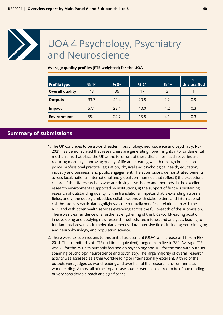<span id="page-39-0"></span>

## UOA 4 Psychology, Psychiatry and Neuroscience

#### **Average quality profiles (FTE-weighted) for the UOA**

| <b>Profile type</b>    | $%4*$ | $%3*$ | $% 2*$ | $%1*$ | %<br>Unclassified |
|------------------------|-------|-------|--------|-------|-------------------|
| <b>Overall quality</b> | 43    | 36    | 17     | 3     |                   |
| <b>Outputs</b>         | 33.7  | 42.4  | 20.8   | 2.2   | 0.9               |
| <b>Impact</b>          | 57.1  | 28.4  | 10.0   | 4.2   | 0.3               |
| <b>Environment</b>     | 55.1  | 24.7  | 15.8   | 4.1   | 0.3               |

## **Summary of submissions**

- 1. The UK continues to be a world leader in psychology, neuroscience and psychiatry. REF 2021 has demonstrated that researchers are generating novel insights into fundamental mechanisms that place the UK at the forefront of these disciplines. Its discoveries are reducing mortality, improving quality of life and creating wealth through impacts on policy, professional practice, legislation, physical and psychological health, education, industry and business, and public engagement. The submissions demonstrated benefits across local, national, international and global communities that reflect i) the exceptional calibre of the UK researchers who are driving new theory and methods, ii) the excellent research environments supported by institutions, ii) the support of funders sustaining research of outstanding quality, iv) the translational impetus that is extending across all fields, and v) the deeply embedded collaborations with stakeholders and international collaborators. A particular highlight was the mutually beneficial relationship with the NHS and with other health services extending across the full breadth of the submission. There was clear evidence of a further strengthening of the UK's world-leading position in developing and applying new research methods, techniques and analytics, leading to fundamental advances in molecular genetics, data-intensive fields including neuroimaging and neurophysiology, and population science.
- 2. There were 93 submissions to this unit of assessment (UOA), an increase of 11 from REF 2014. The submitted staff FTE (full-time equivalent) ranged from five to 380. Average FTE was 28 for the 75 units primarily focused on psychology and 169 for the nine with outputs spanning psychology, neuroscience and psychiatry. The large majority of overall research activity was assessed as either world-leading or internationally excellent. A third of the outputs were judged as world-leading and over half of the research environments as world-leading. Almost all of the impact case studies were considered to be of outstanding or very considerable reach and significance.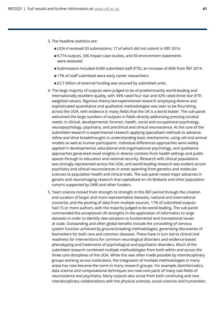- 3. The headline statistics are:
	- UOA 4 received 93 submissions, 17 of which did not submit in REF 2014.
	- 9,774 outputs, 336 impact case studies, and 93 environment statements were assessed.
	- Submissions included 4,040 submitted staff (FTE), an increase of 60% from REF 2014.
	- 17% of staff submitted were early career researchers.
	- £2.7 billion of external funding was secured by submitted units.
- 4. The large majority of outputs were judged to be of predominantly world-leading and internationally excellent quality, with 34% rated four star and 42% rated three star (FTEweighted values). Rigorous theory-led experimental research employing diverse and sophisticated quantitative and qualitative methodologies was seen to be flourishing across the UOA, with evidence in many fields that the UK is a world leader. The sub-panel welcomed the large numbers of outputs in fields directly addressing pressing societal needs: in clinical, developmental, forensic, health, social and occupational psychology, neuropsychology, psychiatry, and preclinical and clinical neuroscience. At the core of the submitted research is experimental research applying specialised methods to advance, refine and drive breakthroughs in understanding basic mechanisms, using cell and animal models as well as human participants. Individual differences approaches were widely applied in developmental, educational and organisational psychology, and qualitative approaches generated novel insights in diverse contexts from health settings and public spaces through to education and national security. Research with clinical populations was strongly represented across the UOA, and world-leading research was evident across psychiatry and clinical neurosciences in areas spanning from genetics and molecular sciences to population health and clinical trials. The sub-panel noted major advances in genetic and neuroimaging research that capitalised on UK Biobank and other population cohorts supported by UKRI and other funders.
- 5. Team science moved from strength to strength in this REF period through the creation and curation of larger and more representative datasets, national and international consortia, and the pooling of data from multiple sources. 11% of submitted outputs had 15 or more authors, with the majority judged to be world-leading. The sub-panel commended the exceptional UK strengths in the application of informatics to large datasets in order to identify new solutions to fundamental and translational issues at scale. Outstanding and often global benefits include the unravelling of nervous system function achieved by ground-breaking methodologies, generating discoveries of biomarkers for both rare and common diseases. These have in turn led to clinical trial readiness for interventions for common neurological disorders and evidence-based phenotyping and treatments of psychological and psychiatric disorders. Much of the submitted research combined multiple methodologies from both within and across the three core disciplines of the UOA. While this was often made possible by interdisciplinary groups working across institutions, the integration of multiple methodologies in many areas has now become the norm in many research groups. For example, bioinformatics, data science and computational techniques are now core parts of many sub-fields of neuroscience and psychiatry. Many outputs also arose from both continuing and new interdisciplinary collaborations with the physical sciences, social sciences and humanities.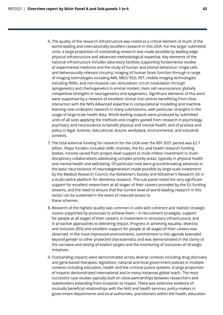- 6. The quality of the research infrastructure was noted as a critical element of much of the world-leading and internationally excellent research in this UOA. For the larger submitted units, a large proportion of outstanding research was made possible by leading-edge physical infrastructure and advanced methodological expertise. Key elements of the national infrastructure includes laboratory facilities supporting fundamental studies of experimental medicine and the study of human and animal behaviour; single cells and behaviourally-relevant circuitry; imaging of human brain function through a range of imaging technologies including MRI, MEG/ EEG, PET, mobile imaging technologies including fNIRs, and non-invasive rain stimulation; circuit modulation through optogenetics and chemogenetics in animal models; stem cell neuroscience; globally competitive strengths in neurogenetics and epigenetics. Significant elements of this work were supported by a network of excellent clinical trial centres benefitting from close interaction with the NHS Advanced expertise in computational modelling and machine learning now underpins research in many submissions, with particular strengths in the usage of large-scale health data. World-leading outputs were produced by submitted units of all sizes applying the methods and insights gained from research in psychology, psychiatry and neuroscience to benefit physical and mental health, and of practice and policy in legal, forensic, educational, leisure, workplace, environmental, and industrial contexts.
- 7. The total external funding for research for the UOA over the REF 2021 period was £2.7 billion. Major funders included UKRI, charities, the EU, and health research funding bodies. Income varied from project-level support to multi-million investment in multidisciplinary collaborations addressing complex priority areas, typically in physical health and mental health and well-being. Of particular note were ground-breaking advances in the basic neuroscience of neurodegeneration made possible by large-scale investment by the Medical Research Council, the Alzheimer's Society and Alzheimer's Research UK in a multi-centre platform for dementia research. The sub-panel noted the very significant support for excellent researchers at all stages of their careers provided by the EU funding streams, and the need to ensure that the current level of world-leading research in this sector can be sustained in the event of reduced access to these schemes.
- 8. Research of the highest quality was common in units with coherent and realistic strategic visions supported by processes to achieve them – in recruitment strategies, support for people at all stages of their careers, in investment in necessary infrastructure, and in proactive approaches to delivering impact. Progress in achieving equality, diversity and inclusion (EDI) and excellent support for people at all stages of their careers was observed. In the most impressive environments, commitment to this agenda extended beyond gender to other protected characteristics and was demonstrated in the clarity of the narrative and setting of explicit targets and the monitoring of outcomes of strategic initiatives.
- 9. Outstanding impacts were demonstrated across diverse contexts including drug discovery and gene-based therapies, legislation, national and local government policies in multiple contexts including education, health and the criminal justice systems. A large proportion of impacts demonstrated international and in many instances global reach. The most successful case studies typically built on close partnerships between researchers and stakeholders extending from inception to impact. There was extensive evidence of mutually beneficial relationships with the NHS and health services, policy-makers in government departments and local authorities, practitioners within the health, education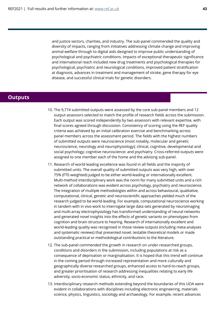and justice sectors, charities, and industry. The sub-panel commended the quality and diversity of impacts, ranging from initiatives addressing climate change and improving animal welfare through to digital aids designed to improve public understanding of psychological and psychiatric conditions. Impacts of exceptional therapeutic significance and international reach included new drug treatments and psychological therapies for psychological, psychiatric and neurological conditions, improved patient stratification at diagnosis, advances in treatment and management of stroke, gene therapy for eye disease, and successful clinical trials for genetic disorders.

## **Outputs**

- 10. The 9,774 submitted outputs were assessed by the core sub-panel members and 12 output assessors selected to match the profile of research fields across the submission. Each output was scored independently by two assessors with relevant expertise, with final scores agreed through discussion. Consistency of scoring using the REF quality criteria was achieved by an initial calibration exercise and benchmarking across panel members across the assessment period. The fields with the highest numbers of submitted outputs were neuroscience (most notably, molecular and genetic neuroscience, neurology and neurophysiology); clinical, cognitive, developmental and social psychology; cognitive neuroscience; and psychiatry. Cross-referred outputs were assigned to one member each of the home and the advising sub-panel.
- 11. Research of world-leading excellence was found in all fields and the majority of submitted units. The overall quality of submitted outputs was very high, with over 75% (FTE-weighted) judged to be either world-leading or internationally excellent. Multi-method interdisciplinary work was the norm for many submitted units and a rich network of collaborations was evident across psychology, psychiatry and neuroscience. The integration of multiple methodologies within and across behavioural, qualitative, computational, clinical, genetic and neuroscientific approaches yielded much of the research judged to be world-leading. For example, computational neuroscience working in tandem with in vivo work to interrogate large data sets generated by neuroimaging and multi-array electrophysiology has transformed understanding of neural networks and generated novel insights into the effects of genetic variants on phenotypes from cognition and brain structure to hearing. Research of internationally excellent and world-leading quality was recognised in those review outputs (including meta-analyses and systematic reviews) that presented novel, testable theoretical models or made outstanding practical or methodological contributions to the literature.
- 12. The sub-panel commended the growth in research on under-researched groups, conditions and disorders in the submission, including populations at risk as a consequence of deprivation or marginalisation. It is hoped that this trend will continue in the coming period through increased representation and more culturally and geographically diverse researched groups, enhanced access to hard-to-reach groups, and greater prioritisation of research addressing inequalities relating to early life adversity, socio-economic status, ethnicity, and race.
- 13. Interdisciplinary research methods extending beyond the boundaries of this UOA were evident in collaborations with disciplines including electronic engineering, materials science, physics, linguistics, sociology and archaeology. For example, recent advances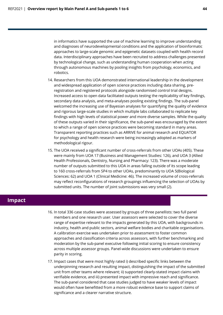in informatics have supported the use of machine learning to improve understanding and diagnoses of neurodevelopmental conditions and the application of bioinformatic approaches to large-scale genomic and epigenetic datasets coupled with health record data. Interdisciplinary approaches have been recruited to address challenges presented by technological change, such as understanding human cooperation when acting through autonomous machines by pooling insights from psychology, economics, and robotics.

- 14. Researchers from this UOA demonstrated international leadership in the development and widespread application of open science practices including data sharing, preregistration and registered protocols alongside randomised control trial designs. Increased access to open data facilitated outputs testing the replicability of key findings, secondary data analysis, and meta-analyses pooling existing findings. The sub-panel welcomed the increasing use of Bayesian analyses for quantifying the quality of evidence and rigorous large-scale studies in which multiple labs collaborated to replicate key findings with high levels of statistical power and more diverse samples. While the quality of these outputs varied in their significance, the sub-panel was encouraged by the extent to which a range of open science practices were becoming standard in many areas. Transparent reporting practices such as ARRIVE for animal research and EQUATOR for psychology and health research were being increasingly adopted as markers of methodological rigour.
- 15. The UOA received a significant number of cross-referrals from other UOAs (405). These were mainly from UOA 17 (Business and Management Studies: 126), and UOA 3 (Allied Health Professionals, Dentistry, Nursing and Pharmacy: 123). There was a moderate number of outputs submitted to this UOA in areas falling outside of its scope leading to 160 cross-referrals from SP4 to other UOAs, predominantly to UOA 5(Biological Sciences: 62) and UOA 1 (Clinical Medicine: 46). The increased volume of cross-referrals may reflect reconfigurations of research groupings influencing the selection of UOAs by submitted units. The number of joint submissions was very small (2).

### **Impact**

- 16. In total 336 case studies were assessed by groups of three panellists: two full panel members and one research user. User assessors were selected to cover the diverse range of expertise relevant to the impacts generated by this UOA, with backgrounds in industry, health and public sectors, animal welfare bodies and charitable organisations. A calibration exercise was undertaken prior to assessment to foster common approaches and classification criteria across assessors, with further benchmarking and moderation by the sub-panel executive following initial scoring to ensure consistency across multiple assessor groups. Panel-wide discussions were undertaken to ensure parity in scoring.
- 17. Impact cases that were most highly rated i) described specific links between the underpinning research and resulting impact, distinguishing the impact of the submitted unit from other teams where relevant; ii) supported clearly-stated impact claims with verifiable evidence, and iii) presented impact with impressive reach and significance. The sub-panel considered that case studies judged to have weaker levels of impact would often have benefitted from a more robust evidence base to support claims of significance and a clearer narrative structure.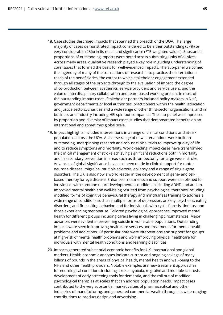- 18. Case studies described impacts that spanned the breadth of the UOA. The large majority of cases demonstrated impact considered to be either outstanding (57%) or very considerable (28%) in its reach and significance (FTE-weighted values). Substantial proportions of outstanding impacts were noted across submitting units of all sizes. Across many areas, qualitative research played a key role in guiding understanding of core issues that formed the basis for well-evidenced impacts. The sub-panel welcomed the ingenuity of many of the translations of research into practice, the international reach of the beneficiaries, the extent to which stakeholder engagement extended through all stages of the projects through to the evaluation of impact, the degree of co-production between academics, service providers and service users, and the value of interdisciplinary collaboration and team-based working present in most of the outstanding impact cases. Stakeholder partners included policy-makers in NHS, government departments or local authorities, practitioners within the health, education and justice sectors, charities and a wide range of other third-sector organisations, and in business and industry including HEI spin-out companies. The sub-panel was impressed by proportion and diversity of impact cases studies that demonstrated benefits on an international and sometimes global scale.
- 19. Impact highlights included interventions in a range of clinical conditions and at-risk populations across the UOA. A diverse range of new interventions were built on outstanding underpinning research and robust clinical trials to improve quality of life and to reduce symptoms and mortality. World-leading impact cases have transformed the clinical management of stroke achieving significant reductions both in mortality and in secondary prevention in areas such as thrombectomy for large vessel stroke. Advances of global significance have also been made in clinical support for motor neurone disease, migraine, multiple sclerosis, epilepsy and a range of single-gene disorders. The UK is also now a world leader in the development of gene- and cellbased therapy for eye disease. Enhanced treatments and support were established for individuals with common neurodevelopmental conditions including ADHD and autism. Improved mental health and well-being resulted from psychological therapies including modified forms of cognitive behavioural therapy and mindfulness training to address a wide range of conditions such as multiple forms of depression, anxiety, psychosis, eating disorders, and fire-setting behavior, and for individuals with cystic fibrosis, tinnitus, and those experiencing menopause. Tailored psychological approaches improved mental health for different groups including carers living in challenging circumstances. Major advances were evident in preventing suicide in vulnerable populations. Outstanding impacts were seen in improving healthcare services and treatments for mental health problems and addictions. Of particular note were interventions and support for groups at high-risk of mental health problems and work improving physical healthcare for individuals with mental health conditions and learning disabilities.
- 20. Impacts generated substantial economic benefits for UK, international and global markets. Health economic analyses indicate current and ongoing savings of many billions of pounds in the areas of physical health, mental health and well-being to the NHS and other health providers. Notable examples are new treatment approaches for neurological conditions including stroke, hypoxia, migraine and multiple sclerosis, development of early screening tools for dementia, and the roll out of modified psychological therapies at scales that can address population needs. Impact cases contributed to the very substantial market values of pharmaceutical and other industries of manufacturing, and generated commercial wealth through its wide-ranging contributions to product design and advertising.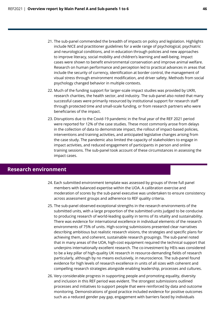- 21. The sub-panel commended the breadth of impacts on policy and legislation. Highlights include NICE and practitioner guidelines for a wide range of psychological, psychiatric and neurological conditions, and in education through policies and new approaches to improve literacy, social mobility and children's learning and well-being. Impact cases were shown to benefit environmental conservation and improve animal welfare. Research on human performance and perception led to practical advances in areas that include the security of currency, identification at border control, the management of visual stress through environment modification, and driver safety. Methods from social psychology changed behavior in multiple contexts.
- 22. Much of the funding support for larger-scale impact studies was provided by UKRI, research charities, the health sector, and industry. The sub-panel also noted that many successful cases were primarily resourced by institutional support for research staff through protected time and small-scale funding, or from research partners who were beneficiaries of the impact.
- 23. Disruptions due to the Covid-19 pandemic in the final year of the REF 2021 period were reported for 12% of the case studies. These most commonly arose from delays in the collection of data to demonstrate impact, the rollout of impact-based policies, interventions and training activities, and anticipated legislative changes arising from the case study. The pandemic also limited the capacity of stakeholders to engage in impact activities, and reduced engagement of participants in person and online training sessions. The sub-panel took account of these circumstances in assessing the impact cases.

## **Research environment**

- 24. Each submitted environment template was assessed by groups of three full panel members with balanced expertise within the UOA. A calibration exercise and moderation of scores by the sub-panel executive was undertaken to ensure consistency across assessment groups and adherence to REF quality criteria.
- 25. The sub-panel observed exceptional strengths in the research environments of the submitted units, with a large proportion of the submitted units judged to be conducive to producing research of world-leading quality in terms of its vitality and sustainability. There was evidence for international excellence in individual elements of the research environments of 75% of units. High-scoring submissions presented clear narratives describing ambitious but realistic research visions, the strategies and specific plans for achieving them, and coherent, sustainable research groupings. The sub-panel noted that in many areas of the UOA, high-cost equipment required the technical support that underpins internationally excellent research. The co-investment by HEIs was considered to be a key pillar of high-quality UK research in resource-demanding fields of research particularly, although by no means exclusively, in neuroscience. The sub-panel found evidence for high levels of research excellence in units of all sizes with coherent and compelling research strategies alongside enabling leadership, processes and cultures.
- 26. Very considerable progress in supporting people and promoting equality, diversity and inclusion in this REF period was evident. The strongest submissions outlined processes and initiatives to support people that were reinforced by data and outcome monitoring. Demonstrations of good practice included evidence for positive outcomes such as a reduced gender pay gap, engagement with barriers faced by individuals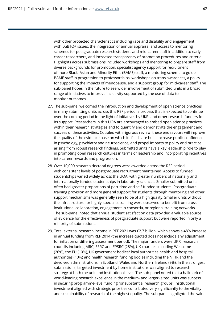with other protected characteristics including race and disability and engagement with LGBTQ+ issues, the integration of annual appraisal and access to mentoring schemes for postgraduate research students and mid-career staff in addition to early career researchers, and increased transparency of promotion procedures and criteria. Highlights across submissions included workshops and mentoring to prepare staff from diverse backgrounds for promotion, specialist agency support for recruitment of more Black, Asian and Minority Ethic (BAME) staff, a mentoring scheme to guide BAME staff in progression to professorships, workshops on trans awareness, a policy for supporting the impacts of menopause, and a support group for mid-career staff. The sub-panel hopes in the future to see wider involvement of submitted units in a broad range of initiatives to improve inclusivity supported by the use of data to monitor outcomes.

- 27. The sub-panel welcomed the introduction and development of open science practices in many submitting units across this REF period, a process that is expected to continue over the coming period in the light of initiatives by UKRI and other research funders for its support. Researchers in this UOA are encouraged to embed open science practices within their research strategies and to quantify and demonstrate the engagement and success of these activities. Coupled with rigorous review, these endeavours will improve the quality of the evidence base on which its fields are built, increase public confidence in psychology, psychiatry and neuroscience, and propel impacts to policy and practice arising from robust research findings. Submitted units have a key leadership role to play in promoting open research cultures in terms of leadership and incorporating incentives into career rewards and progression.
- 28. Over 10,000 research doctoral degrees were awarded across the REF period, with consistent levels of postgraduate recruitment maintained. Access to funded studentships varied widely across the UOA, with greater numbers of nationally and internationally-funded studentships in laboratory sciences. Smaller submitted units often had greater proportions of part-time and self-funded students. Postgraduate training provision and more general support for students through mentoring and other support mechanisms was generally seen to be of a high quality. Smaller units without the infrastructure for highly-specialist training were observed to benefit from crossinstitutional collaboration, engagement in consortia, or regional training networks. The sub-panel noted that annual student satisfaction data provided a valuable source of evidence for the effectiveness of postgraduate support but were reported in only a minority of submissions.
- 29. Total external research income in REF 2021 was £2.7 billion, which shows a 48% increase in annual funding from REF 2014 (the increase quoted does not include any adjustment for inflation or differing assessment period). The major funders were UKRI research councils including MRC, ESRC and EPSRC (28%), UK charities including Wellcome (26%), the EU (10%), UK government bodies/ local authorities health and hospital authorities (10%) and health research funding bodies including the NIHR and the devolved administrations in Scotland, Wales and Northern Ireland (9%). In the strongest submissions, targeted investment by home institutions was aligned to research strategy at both the unit and institutional level. The sub-panel noted that a hallmark of world-leading research excellence in the medium- and larger- sized units was success in securing programme-level funding for substantial research groups. Institutional investment aligned with strategic priorities contributed very significantly to the vitality and sustainability of research of the highest quality. The sub-panel highlighted the value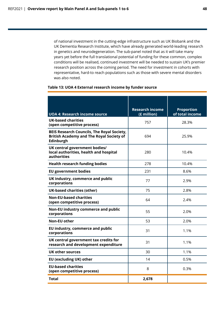of national investment in the cutting-edge infrastructure such as UK Biobank and the UK Dementia Research Institute, which have already generated world-leading research in genetics and neurodegeneration. The sub-panel noted that as it will take many years yet before the full translational potential of funding for these common, complex conditions will be realised, continued investment will be needed to sustain UK's premier research position across the coming period. The need for investment in cohorts with representative, hard-to reach populations such as those with severe mental disorders was also noted.

#### **Table 13: UOA 4 External research income by funder source**

|                                                                                                                   | <b>Research income</b> | <b>Proportion</b> |
|-------------------------------------------------------------------------------------------------------------------|------------------------|-------------------|
| <b>UOA 4: Research income source</b>                                                                              | (£ million)            | of total income   |
| <b>UK-based charities</b><br>(open competitive process)                                                           | 757                    | 28.3%             |
| <b>BEIS Research Councils, The Royal Society,</b><br><b>British Academy and The Royal Society of</b><br>Edinburgh | 694                    | 25.9%             |
| UK central government bodies/<br>local authorities, health and hospital<br>authorities                            | 280                    | 10.4%             |
| <b>Health research funding bodies</b>                                                                             | 278                    | 10.4%             |
| <b>EU government bodies</b>                                                                                       | 231                    | 8.6%              |
| UK industry, commerce and public<br>corporations                                                                  | 77                     | 2.9%              |
| <b>UK-based charities (other)</b>                                                                                 | 75                     | 2.8%              |
| <b>Non-EU-based charities</b><br>(open competitive process)                                                       | 64                     | 2.4%              |
| Non-EU industry commerce and public<br>corporations                                                               | 55                     | 2.0%              |
| <b>Non-EU other</b>                                                                                               | 53                     | 2.0%              |
| EU industry, commerce and public<br>corporations                                                                  | 31                     | 1.1%              |
| UK central government tax credits for<br>research and development expenditure                                     | 31                     | 1.1%              |
| <b>UK other sources</b>                                                                                           | 30                     | 1.1%              |
| <b>EU (excluding UK) other</b>                                                                                    | 14                     | 0.5%              |
| <b>EU-based charities</b><br>(open competitive process)                                                           | 8                      | 0.3%              |
| Total                                                                                                             | 2,678                  |                   |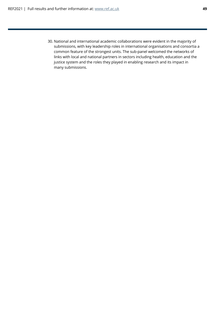30. National and international academic collaborations were evident in the majority of submissions, with key leadership roles in international organisations and consortia a common feature of the strongest units. The sub-panel welcomed the networks of links with local and national partners in sectors including health, education and the justice system and the roles they played in enabling research and its impact in many submissions.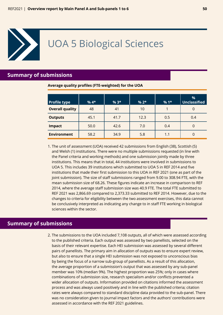<span id="page-49-0"></span>

## UOA 5 Biological Sciences

## **Summary of submissions**

**Average quality profiles (FTE-weighted) for the UOA**

| <b>Profile type</b>    | $%4*$ | $%3*$ | $% 2*$ | $%1*$ | $\%$<br><b>Unclassified</b> |
|------------------------|-------|-------|--------|-------|-----------------------------|
| <b>Overall quality</b> | 48    | 41    | 10     |       | 0                           |
| <b>Outputs</b>         | 45.1  | 41.7  | 12.3   | 0.5   | 0.4                         |
| <b>Impact</b>          | 50.0  | 42.6  | 7.0    | 0.4   | 0                           |
| <b>Environment</b>     | 58.2  | 34.9  | 5.8    | 1.1   | 0                           |

1. The unit of assessment (UOA) received 42 submissions from English (38), Scottish (5) and Welsh (1) institutions. There were no multiple submissions requested (in line with the Panel criteria and working methods) and one submission jointly made by three institutions. This means that in total, 44 institutions were involved in submissions to UOA 5. This includes 39 institutions which submitted to UOA 5 in REF 2014 and five institutions that made their first submission to this UOA in REF 2021 (one as part of the joint submission). The size of staff submissions ranged from 9.00 to 308.94 FTE, with the mean submission size of 68.26. These figures indicate an increase in comparison to REF 2014, where the average staff submission size was 40.9 FTE. The total FTE submitted to REF 2021 was 2,866.69 compared to 2,373.33 submitted to REF 2014. However, due to the changes to criteria for eligibility between the two assessment exercises, this data cannot be conclusively interpreted as indicating any change to in staff FTE working in biological sciences within the sector.

## **Summary of submissions**

2. The submissions to the UOA included 7,108 outputs, all of which were assessed according to the published criteria. Each output was assessed by two panellists, selected on the basis of their relevant expertise. Each HEI submission was assessed by several different pairs of panellists. The primary aim in allocation of outputs was to ensure expert review, but also to ensure that a single HEI submission was not exposed to unconscious bias by being the focus of a narrow sub-group of panellists. As a result of this allocation, the average proportion of a submission's output that was assessed by any sub-panel member was 10% (median 9%). The highest proportion was 25%; only in cases where combinations of submission size, research specialism and/or conflicts prevented a wider allocation of outputs. Information provided on citations informed the assessment process and was always used positively and in line with the published criteria; citation rates were always compared to standard discipline data provided to the sub-panel. There was no consideration given to journal impact factors and the authors' contributions were assessed in accordance with the REF 2021 guidelines.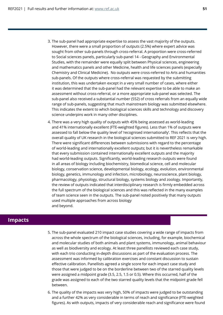- 3. The sub-panel had appropriate expertise to assess the vast majority of the outputs. However, there were a small proportion of outputs (2.5%) where expert advice was sought from other sub-panels through cross-referral. A proportion were cross-referred to Social sciences panels, particularly sub-panel 14 - Geography and Environmental Studies, with the remainder were equally split between Physical sciences, engineering and mathematics panels and other Medicine, health and life sciences panels (especially Chemistry and Clinical Medicine). No outputs were cross-referred to Arts and humanities sub-panels. Of the outputs where cross-referral was requested by the submitting institution, this was undertaken except in a very small number of cases, where either it was determined that the sub-panel had the relevant expertise to be able to make an assessment without cross-referral, or a more appropriate sub-panel was selected. The sub-panel also received a substantial number (552) of cross referrals from an equally wide range of sub-panels, suggesting that much mainstream biology was submitted elsewhere. This indicates the extent to which biological sciences skills and technology and discovery science underpins work in many other disciplines.
- 4. There was a very high quality of outputs with 45% being assessed as world-leading and 41% internationally excellent (FTE-weighted figures). Less than 1% of outputs were assessed to fall below the quality level of 'recognised internationally'. This reflects that the overall quality of UK research in the biological sciences submitted to REF 2021 is very high. There were significant differences between submissions with regard to the percentage of world-leading and internationally excellent outputs; but it is nevertheless remarkable that every submission contained internationally excellent outputs and the majority had world-leading outputs. Significantly, world-leading research outputs were found in all areas of biology including biochemistry, biomedical science, cell and molecular biology, conservation science, developmental biology, ecology, evolution, environmental biology, genetics, immunology and infection, microbiology, neuroscience, plant biology, pharmacology, physiology, structural biology, systems biology and zoology. Importantly, the review of outputs indicated that interdisciplinary research is firmly embedded across the full spectrum of the biological sciences and this was reflected in the many examples of team science seen in the outputs. The sub-panel noted positively that many outputs used multiple approaches from across biology and beyond.

## **Impacts**

- 5. The sub-panel evaluated 210 impact case studies covering a wide range of impacts from across the whole spectrum of the biological sciences, including, for example, biochemical and molecular studies of both animals and plant systems, immunology, animal behaviour as well as biodiversity and ecology. At least three panellists reviewed each case study, with each trio conducting in-depth discussions as part of the evaluation process. The assessment was informed by calibration exercises and constant discussion to sustain effective calibration. Panellists agreed a single score for each impact case study and those that were judged to be on the borderline between two of the starred quality levels were assigned a midpoint grade (3.5, 2.5, 1.5 or 0.5). Where this occurred, half of the grade was assigned to each of the two starred quality levels that the midpoint grade fell between.
- 6. The quality of the impacts was very high, 50% of impacts were judged to be outstanding and a further 42% as very considerable in terms of reach and significance (FTE-weighted figures). As with outputs, impacts of very considerable reach and significance were found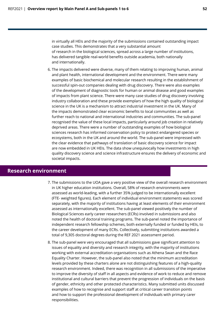in virtually all HEIs and the majority of the submissions contained outstanding impact case studies. This demonstrates that a very substantial amount of research in the biological sciences, spread across a large number of institutions, has delivered tangible real-world benefits outside academia, both nationally and internationally.

6. The impacts delivered were diverse, many of them relating to improving human, animal and plant health, international development and the environment. There were many examples of basic biochemical and molecular research resulting in the establishment of successful spin-out companies dealing with drug discovery. There were also examples of the development of diagnostic tools for human or animal disease and good examples of impacts from plant science. There were many case studies of drug discovery involving industry collaboration and these provide exemplars of how the high quality of biological science in the UK is a mechanism to attract industrial investment in the UK. Many of the impacts demonstrated clear economic benefits to local communities as well as further reach to national and international industries and communities. The sub-panel recognised the value of these local impacts, particularly around job creation in relatively deprived areas. There were a number of outstanding examples of how biological sciences research has informed conservation policy to protect endangered species or ecosystems, both in the UK and around the world. The sub-panel were impressed with the clear evidence that pathways of translation of basic discovery science for impact are now embedded in UK HEIs. The data show unequivocally how investments in high quality discovery science and science infrastructure ensures the delivery of economic and societal impacts.

## **Research environment**

- 7. The submissions to the UOA gave a very positive view of the overall research environment in UK higher education institutions. Overall, 58% of research environments were assessed as world-leading, with a further 35% judged to be internationally excellent (FTE- weighted figures). Each element of individual environment statements was scored separately, with the majority of institutions having at least elements of their environment assessed as internationally excellent. The sub-panel viewed positively the number of Biological Sciences early career researchers (ECRs) involved in submissions and also noted the health of doctoral training programs. The sub-panel noted the importance of independent research fellowship schemes, both externally funded or funded by HEIs, to the career development of many ECRs. Collectively, submitting institutions awarded a total of 9,305 doctoral degrees during the REF 2021 assessment period.
- 8. The sub-panel were very encouraged that all submissions gave significant attention to issues of equality and diversity and research integrity, with the majority of institutions working with external accreditation organisations such as Athena Swan and the Race Equality Charter. However, the sub-panel also noted that the minimum accreditation levels provided by these charters alone are not distinguishing features of a high-quality research environment. Indeed, there was recognition in all submissions of the imperative to improve the diversity of staff in all aspects and evidence of work to reduce and remove institutional and cultural barriers that prevent the progression of individuals on the basis of gender, ethnicity and other protected characteristics. Many submitted units discussed examples of how to recognise and support staff at critical career transition points and how to support the professional development of individuals with primary carer responsibilities.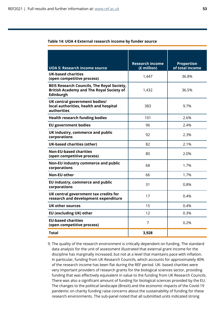| Table 14: UOA 4 External research income by funder source |  |  |
|-----------------------------------------------------------|--|--|
|-----------------------------------------------------------|--|--|

|                                                                                                                   | <b>Research income</b> | <b>Proportion</b> |
|-------------------------------------------------------------------------------------------------------------------|------------------------|-------------------|
| <b>UOA 5: Research income source</b>                                                                              | (£ million)            | of total income   |
| <b>UK-based charities</b><br>(open competitive process)                                                           | 1,447                  | 36.8%             |
| <b>BEIS Research Councils, The Royal Society,</b><br><b>British Academy and The Royal Society of</b><br>Edinburgh | 1,432                  | 36.5%             |
| UK central government bodies/<br>local authorities, health and hospital<br>authorities                            | 383                    | 9.7%              |
| <b>Health research funding bodies</b>                                                                             | 101                    | 2.6%              |
| <b>EU government bodies</b>                                                                                       | 96                     | 2.4%              |
| UK industry, commerce and public<br>corporations                                                                  | 92                     | 2.3%              |
| <b>UK-based charities (other)</b>                                                                                 | 82                     | 2.1%              |
| <b>Non-EU-based charities</b><br>(open competitive process)                                                       | 80                     | 2.0%              |
| Non-EU industry commerce and public<br>corporations                                                               | 68                     | 1.7%              |
| <b>Non-EU other</b>                                                                                               | 66                     | 1.7%              |
| EU industry, commerce and public<br>corporations                                                                  | 31                     | 0.8%              |
| UK central government tax credits for<br>research and development expenditure                                     | 17                     | 0.4%              |
| UK other sources                                                                                                  | 15                     | 0.4%              |
| EU (excluding UK) other                                                                                           | 12                     | 0.3%              |
| <b>EU-based charities</b><br>(open competitive process)                                                           | $\overline{7}$         | 0.2%              |
| Total                                                                                                             | 3,928                  |                   |

9. The quality of the research environment is critically dependent on funding. The standard data analysis for the unit of assessment illustrated that external grant income for the discipline has marginally increased, but not at a level that maintains pace with inflation. In particular, funding from UK Research Councils, which accounts for approximately 40% of the research income has been flat during the REF period. UK- based charities were very important providers of research grants for the biological sciences sector, providing funding that was effectively equivalent in value to the funding from UK Research Councils. There was also a significant amount of funding for biological sciences provided by the EU. The changes to the political landscape (Brexit) and the economic impacts of the Covid-19 pandemic on charity funding raise concerns about the sustainability of funding for these research environments. The sub-panel noted that all submitted units indicated strong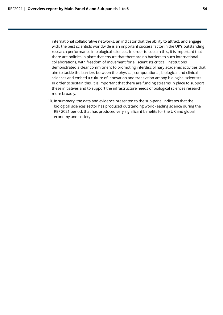international collaborative networks, an indicator that the ability to attract, and engage with, the best scientists worldwide is an important success factor in the UK's outstanding research performance in biological sciences. In order to sustain this, it is important that there are policies in place that ensure that there are no barriers to such international collaborations, with freedom of movement for all scientists critical. Institutions demonstrated a clear commitment to promoting interdisciplinary academic activities that aim to tackle the barriers between the physical, computational, biological and clinical sciences and embed a culture of innovation and translation among biological scientists. In order to sustain this, it is important that there are funding streams in place to support these initiatives and to support the infrastructure needs of biological sciences research more broadly.

10. In summary, the data and evidence presented to the sub-panel indicates that the biological sciences sector has produced outstanding world-leading science during the REF 2021 period, that has produced very significant benefits for the UK and global economy and society.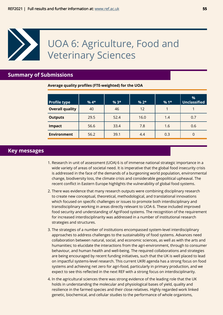<span id="page-54-0"></span>

## **Summary of Submissions**

**Average quality profiles (FTE-weighted) for the UOA**

| <b>Profile type</b>    | $%4*$ | $%3*$ | $% 2*$ | $%1*$ | %<br>Unclassified |
|------------------------|-------|-------|--------|-------|-------------------|
| <b>Overall quality</b> | 40    | 46    | 12     |       |                   |
| <b>Outputs</b>         | 29.5  | 52.4  | 16.0   | 1.4   | 0.7               |
| <b>Impact</b>          | 56.6  | 33.4  | 7.8    | 1.6   | 0.6               |
| <b>Environment</b>     | 56.2  | 39.1  | 4.4    | 0.3   | 0                 |

### **Key messages**

- 1. Research in unit of assessment (UOA) 6 is of immense national strategic importance in a wide variety of areas of societal need. It is imperative that the global food insecurity crisis is addressed in the face of the demands of a burgeoning world population, environmental change, biodiversity loss, the climate crisis and considerable geopolitical upheaval. The recent conflict in Eastern Europe highlights the vulnerability of global food systems.
- 2. There was evidence that many research outputs were combining disciplinary research to create new conceptual, theoretical, methodological, and translational innovations which focused on specific challenges or issues to promote both interdisciplinary and transdisciplinary working in areas directly relevant to UOA 6. These included improved food security and understanding of AgriFood systems. The recognition of the requirement for increased interdisciplinarity was addressed in a number of institutional research strategies and structures.
- 3. The strategies of a number of institutions encompassed system-level interdisciplinary approaches to address challenges to the sustainability of food systems. Advances need collaboration between natural, social, and economic sciences, as well as with the arts and humanities; to elucidate the interactions from the agri-environment, through to consumer behaviour, and human health and well-being. The required collaborations and strategies are being encouraged by recent funding initiatives, such that the UK is well placed to lead on impactful systems-level research. This current UKRI agenda has a strong focus on food systems and achieving net zero for agri-food, particularly in primary production, and we expect to see this reflected in the next REF with a strong focus on interdisciplinarity.
- 4. In the agricultural sciences there was strong evidence of the leading role that the UK holds in understanding the molecular and physiological bases of yield, quality and resilience in the farmed species and their close relatives. Highly regarded work linked genetic, biochemical, and cellular studies to the performance of whole organisms,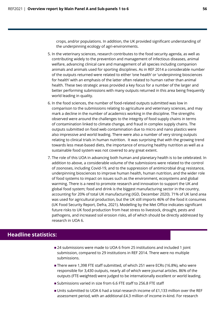crops, and/or populations. In addition, the UK provided significant understanding of the underpinning ecology of agri-environments.

- 5. In the veterinary sciences, research contributes to the food security agenda, as well as contributing widely to the prevention and management of infectious diseases, animal welfare, advancing clinical care and management of all species including companion animals and animals used for sporting disciplines. As in REF 2014 a considerable number of the outputs returned were related to either 'one health' or 'underpinning biosciences for health' with an emphasis of the latter often related to human rather than animal health. These two strategic areas provided a key focus for a number of the larger and better performing submissions with many outputs returned in this area being frequently world leading in quality.
- 6. In the food sciences, the number of food-related outputs submitted was low in comparison to the submissions relating to agriculture and veterinary sciences, and may mark a decline in the number of academics working in the discipline. The strengths observed were around the challenges to the integrity of food supply chains in terms of contamination linked to climate change, and fraud in complex supply chains. The outputs submitted on food web contamination due to micro and nano plastics were also impressive and world leading. There were also a number of very strong outputs relating to clinical trials in human nutrition. It was surprising that with the growing trend towards less meat-based diets, the importance of ensuring healthy nutrition as well as a sustainable food system was not covered to any great extent.
- 7. The role of this UOA in advancing both human and planetary health is to be celebrated. In addition to above, a considerable volume of the submissions were related to the control of zoonoses, including Covid-19, and to the suppression of antimicrobial drug resistance, underpinning biosciences to improve human health, human nutrition, and the wider role of food systems to impact on issues such as the environment, ecosystems and global warming. There is a need to promote research and innovation to support the UK and global food system; food and drink is the biggest manufacturing sector in the country, accounting for 20% of total UK manufacturing (IGD, December 2020). 71% of UK land area was used for agricultural production, but the UK still imports 46% of the food it consumes (UK Food Security Report, Defra, 2021). Modelling by the Met Office indicates significant future risks to UK food production from heat stress to livestock, drought, pests and pathogens, and increased soil erosion risks, all of which should be directly addressed by research in UOA 6.

## **Headline statistics:**

- 24 submissions were made to UOA 6 from 25 institutions and included 1 joint submission, compared to 29 institutions in REF 2014. There were no multiple submissions.
- There were 1,398 FTE staff submitted, of which 251 were ECRs (16.8%), who were responsible for 3,430 outputs, nearly all of which were journal articles. 86% of the outputs (FTE-weighted) were judged to be internationally excellent or world leading.
- Submissions varied in size from 6.6 FTE staff to 256.8 FTE staff
- Units submitted to UOA 6 had a total research income of £1,133 million over the REF assessment period, with an additional £4.3 million of income in-kind. For research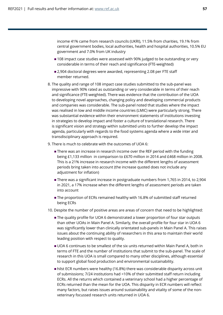income 41% came from research councils (UKRI), 11.5% from charities, 19.1% from central government bodies, local authorities, health and hospital authorities, 10.5% EU government and 7.0% from UK industry

- **108** impact case studies were assessed with 90% judged to be outstanding or very considerable in terms of their reach and significance (FTE-weighted)
- 2,904 doctoral degrees were awarded, representing 2.08 per FTE staff member returned.
- 8. The quality and range of 108 impact case studies submitted to the sub-panel was impressive with 90% rated as outstanding or very considerable in terms of their reach and significance (FTE-weighted). There was evidence that the contribution of the UOA to developing novel approaches, changing policy and developing commercial products and companies was considerable. The sub-panel noted that studies where the impact was realised in low and middle income countries (LMIC) were particularly strong. There was substantial evidence within their environment statements of institutions investing in strategies to develop impact and foster a culture of translational research. There is significant vision and strategy within submitted units to further develop the impact agenda, particularly with regards to the food systems agenda where a wide inter and transdisciplinary approach is required.
- 9. There is much to celebrate with the outcomes of UOA 6:
	- **There was an increase in research income over the REF period with the funding** being £1,133 million in comparison to £670 million in 2014 and £468 million in 2008. This is a 21% increase in research income with the different lengths of assessment periods bring taken into account (the increase quoted does not include any adjustment for inflation)
	- There was a significant increase in postgraduate numbers from 1,765 in 2014, to 2,904 in 2021, a 17% increase when the different lengths of assessment periods are taken into account
	- The proportion of ECRs remained healthy with 16.8% of submitted staff returned being ECRs
- 10. Despite the number of positive areas are areas of concern that need to be highlighted:
	- The quality profile for UOA 6 demonstrated a lower proportion of four star outputs than other UOAs in Main Panel A. Similarly, the overall profile for four star in UOA 6 was significantly lower than clinically orientated sub-panels in Main Panel A. This raises issues about the continuing ability of researchers in this area to maintain their world leading position with respect to quality.
	- UOA 6 continues to be smallest of the six units returned within Main Panel A, both in terms of FTE and the number of institutions that submit to the sub-panel. The scale of research in this UOA is small compared to many other disciplines, although essential to support global food production and environmental sustainability.
	- hilst ECR numbers were healthy (16.8%) there was considerable disparity across unit of submissions; 7/24 institutions had <10% of their submitted staff return including ECRs. All the returns which contained a veterinary school had a higher percentage of ECRs returned than the mean for the UOA. This disparity in ECR numbers will reflect many factors, but raises issues around sustainability and vitality of some of the nonveterinary focussed research units returned in UOA 6.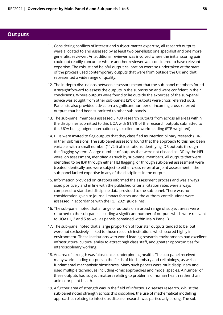## **Outputs**

- 11. Considering conflicts of interest and subject-matter expertise, all research outputs were allocated to and assessed by at least two panellists; one specialist and one more generalist reviewer. An additional reviewer was involved where the initial scoring pair could not readily concur, or where another reviewer was considered to have relevant expertise. The robust and helpful output calibration exercise undertaken at the start of the process used contemporary outputs that were from outside the UK and that represented a wide range of quality.
- 12. The in-depth discussions between assessors meant that the sub-panel members found it straightforward to assess the outputs in the submission and were confident in their conclusions. Where outputs were found to lie outside the expertise of the sub-panel, advice was sought from other sub-panels (2% of outputs were cross referred out). Panellists also provided advice on a significant number of incoming cross-referred outputs that had been submitted to other sub-panels.
- 13. The sub-panel members assessed 3,430 research outputs from across all areas within the disciplines submitted to this UOA with 81.9% of the research outputs submitted to this UOA being judged internationally excellent or world-leading (FTE-weighted).
- 14. HEIs were invited to flag outputs that they classified as interdisciplinary research (IDR) in their submissions. The sub-panel assessors found that the approach to this had been variable, with a small number (11/24) of institutions identifying IDR outputs through the flagging system. A large number of outputs that were not classed as IDR by the HEI were, on assessment, identified as such by sub-panel members. All outputs that were identified to be IDR through either HEI flagging, or through sub-panel assessment were treated identically and were subject to either cross referral or joint assessment if the sub-panel lacked expertise in any of the disciplines in the output.
- 15. Information provided on citations informed the assessment process and was always used positively and in line with the published criteria; citation rates were always compared to standard discipline data provided to the sub-panel. There was no consideration given to journal impact factors and the authors' contributions were assessed in accordance with the REF 2021 guidelines.
- 16. The sub-panel noted that a range of outputs on a broad range of subject areas were returned to the sub-panel including a significant number of outputs which were relevant to UOAs 1, 2 and 5 as well as panels contained within Main Panel B.
- 17. The sub-panel noted that a large proportion of four star outputs tended to be, but were not exclusively, linked to those research institutions which scored highly in environment. These institutions with world-leading research environments had excellent infrastructure, culture, ability to attract high class staff, and greater opportunities for interdisciplinary working.
- 18. An area of strength was 'biosciences underpinning health'. The sub-panel received many world-leading outputs in the fields of biochemistry and cell biology, as well as fundamental mechanistic biosciences. Many such papers were multidisciplinary and used multiple techniques including -omic approaches and model species. A number of these outputs had subject matters relating to problems of human health rather than animal or plant health.
- 19. A further area of strength was in the field of infectious diseases research. Whilst the sub-panel noted strength across this discipline, the use of mathematical modelling approaches relating to infectious disease research was particularly strong. The sub-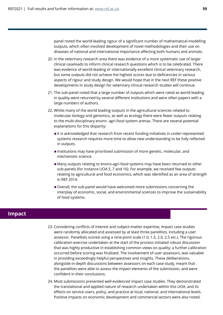panel noted the world-leading rigour of a significant number of mathematical-modelling outputs, which often involved development of novel methodologies and their use on diseases of national and international importance affecting both humans and animals.

- 20. In the veterinary research area there was evidence of a more systematic use of larger clinical caseloads to inform clinical research questions which is to be celebrated. There was evidence of world-leading or internationally excellent clinical veterinary research, but some outputs did not achieve the highest scores due to deficiencies in various aspects of rigour and study design. We would hope that in the next REF these positive developments in study design for veterinary clinical research studies will continue.
- 21. The sub-panel noted that a large number of outputs which were rated as world-leading in quality were returned by several different institutions and were often papers with a large numbers of authors.
- 22. Whilst many of the world leading outputs in the agricultural sciences related to molecular biology and genomics, as well as ecology there were fewer outputs relating to the multi-disciplinary enviro- agri-food system arenas. There are several potential explanations for this disparity:
	- It is acknowledged that research from recent funding initiatives in under-represented systems research requires more time to allow new understanding to be fully reflected in outputs.
	- **Institutions may have prioritised submission of more genetic, molecular, and** mechanistic science.
	- Many outputs relating to enviro-agri-food systems may have been returned to other sub-panels (for instance UOA 5, 7 and 16). For example, we received few outputs relating to agricultural and food economics, which was identified as an area of strength in REF 2014.
	- Overall, the sub-panel would have welcomed more submissions concerning the interplay of economic, social, and environmental sciences to improve the sustainability of food systems.

## **Impact**

- 23. Considering conflicts of interest and subject-matter expertise, impact case studies were randomly allocated and assessed by at least three panellists, including a user assessor. Panellists scored using a nine-point scale (1.0, 1.5, 2.0, 2.5 etc.). The rigorous calibration exercise undertaken at the start of the process initiated robust discussion that was highly productive in establishing common views on quality; a further calibration occurred before scoring was finalised. The involvement of user assessors, was valuable in providing exceedingly helpful perspectives and insights. These deliberations, alongside in-depth discussions between assessors on each case study, meant that the panellists were able to assess the impact elements of the submission, and were confident in their conclusions.
- 24. Most submissions presented well-evidenced impact case studies. They demonstrated the translational and applied nature of research undertaken within this UOA, and its effects on service users, policy, and practice at local, national, and international levels. Positive impacts on economic development and commercial sectors were also noted.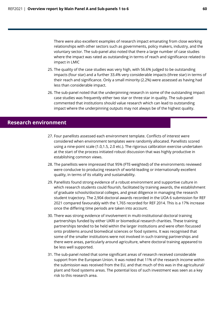There were also excellent examples of research impact emanating from close working relationships with other sectors such as governments, policy makers, industry, and the voluntary sector. The sub-panel also noted that there a large number of case studies where the impact was rated as outstanding in terms of reach and significance related to impact in LMIC

- 25. The quality of the case studies was very high, with 56.6% judged to be outstanding impacts (four star) and a further 33.4% very considerable impacts (three star) in terms of their reach and significance. Only a small minority (2.2%) were assessed as having had less than considerable impact.
- 26. The sub-panel noted that the underpinning research in some of the outstanding impact case studies was frequently either two star or three star in quality. The sub-panel commented that institutions should value research which can lead to outstanding impact where the underpinning outputs may not always be of the highest quality.

## **Research environment**

- 27. Four panellists assessed each environment template. Conflicts of interest were considered when environment templates were randomly allocated. Panellists scored using a nine-point scale (1.0,1.5, 2.0 etc.). The rigorous calibration exercise undertaken at the start of the process initiated robust discussion that was highly productive in establishing common views.
- 28. The panellists were impressed that 95% (FTE-weighted) of the environments reviewed were conducive to producing research of world-leading or internationally excellent quality, in terms of its vitality and sustainability.
- 29. Panellists found strong evidence of a robust environment and supportive culture in which research students could flourish, facilitated by training awards, the establishment of graduate schools/doctoral colleges, and great diligence in managing the research student trajectory. The 2,904 doctoral awards recorded in the UOA 6 submission for REF 2021 compared favourably with the 1,765 recorded for REF 2014. This is a 17% increase once the differing time periods are taken into account.
- 30. There was strong evidence of involvement in multi-institutional doctoral training partnerships funded by either UKRI or biomedical research charities. These training partnerships tended to be held within the larger institutions and were often focussed onto problems around biomedical sciences or food systems. It was recognised that some of the smaller institutions were not involved in such training partnerships and there were areas, particularly around agriculture, where doctoral training appeared to be less well supported.
- 31. The sub-panel noted that some significant areas of research received considerable support from the European Union. It was noted that 11% of the research income within the submission was received from the EU, and that much of this was in the agricultural/ plant and food systems areas. The potential loss of such investment was seen as a key risk to this research area.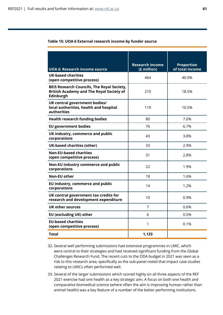#### **Table 15: UOA 6 External research income by funder source**

|                                                                                                                   | <b>Research income</b> | <b>Proportion</b> |
|-------------------------------------------------------------------------------------------------------------------|------------------------|-------------------|
| <b>UOA 6: Research income source</b>                                                                              | (£ million)            | of total income   |
| <b>UK-based charities</b><br>(open competitive process)                                                           | 464                    | 40.9%             |
| <b>BEIS Research Councils, The Royal Society,</b><br><b>British Academy and The Royal Society of</b><br>Edinburgh | 210                    | 18.5%             |
| UK central government bodies/<br>local authorities, health and hospital<br>authorities                            | 119                    | 10.5%             |
| <b>Health research funding bodies</b>                                                                             | 80                     | 7.0%              |
| <b>EU government bodies</b>                                                                                       | 76                     | 6.7%              |
| UK industry, commerce and public<br>corporations                                                                  | 43                     | 3.8%              |
| <b>UK-based charities (other)</b>                                                                                 | 33                     | 2.9%              |
| <b>Non-EU-based charities</b><br>(open competitive process)                                                       | 31                     | 2.8%              |
| Non-EU industry commerce and public<br>corporations                                                               | 22                     | 1.9%              |
| <b>Non-EU other</b>                                                                                               | 18                     | 1.6%              |
| EU industry, commerce and public<br>corporations                                                                  | 14                     | 1.2%              |
| UK central government tax credits for<br>research and development expenditure                                     | 10                     | 0.9%              |
| UK other sources                                                                                                  | 7                      | 0.6%              |
| <b>EU (excluding UK) other</b>                                                                                    | 6                      | 0.5%              |
| <b>EU-based charities</b><br>(open competitive process)                                                           | 1                      | 0.1%              |
| Total                                                                                                             | 1,133                  |                   |

- 32. Several well performing submissions had extensive programmes in LMIC, which were central to their strategies and had received significant funding from the Global Challenges Research Fund. The recent cuts to the ODA budget in 2021 was seen as a risk to this research area, specifically as the sub-panel noted that impact case studies relating to LMICs often performed well.
- 33. Several of the larger submissions which scored highly on all three aspects of the REF 2021 exercise had one health as a key strategic aim. A focus on both one health and comparative biomedical science (where often the aim is improving human rather than animal health) was a key feature of a number of the better performing institutions.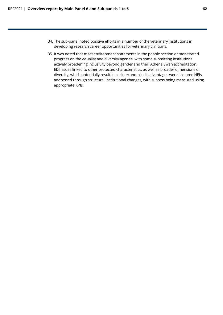- 34. The sub-panel noted positive efforts in a number of the veterinary institutions in developing research career opportunities for veterinary clinicians.
- 35. It was noted that most environment statements in the people section demonstrated progress on the equality and diversity agenda, with some submitting institutions actively broadening inclusivity beyond gender and their Athena Swan accreditation. EDI issues linked to other protected characteristics, as well as broader dimensions of diversity, which potentially result in socio-economic disadvantages were, in some HEIs, addressed through structural institutional changes, with success being measured using appropriate KPIs.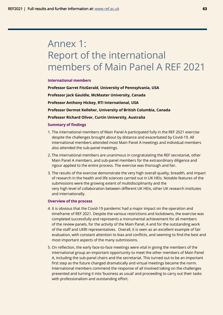## <span id="page-62-0"></span>Annex 1: Report of the international members of Main Panel A REF 2021

#### **International members**

**Professor Garret FitzGerald, University of Pennsylvania, USA Professor Jack Gauldie, McMaster University, Canada Professor Anthony Hickey, RTI International, USA Professor Dermot Kelleher, University of British Columbia, Canada Professor Richard Oliver, Curtin University, Australia** 

#### **Summary of findings**

- 1. The international members of Main Panel A participated fully in the REF 2021 exercise despite the challenges brought about by distance and exacerbated by Covid-19. All international members attended most Main Panel A meetings and individual members also attended the sub-panel meetings.
- 2. The international members are unanimous in congratulating the REF secretariat, other Main Panel A members, and sub-panel members for the extraordinary diligence and rigour applied to the entire process. The exercise was thorough and fair.
- 3. The results of the exercise demonstrate the very high overall quality, breadth, and impact of research in the health and life sciences carried out in UK HEIs. Notable features of the submissions were the growing extent of multidisciplinarity and the very high level of collaboration between different UK HEIs, other UK research institutes and internationally.

#### **Overview of the process**

- 4. It is obvious that the Covid-19 pandemic had a major impact on the operation and timeframe of REF 2021. Despite the various restrictions and lockdowns, the exercise was completed successfully and represents a monumental achievement for all members of the review panels, for the activity of the Main Panel, A and for the outstanding work of the staff and UKRI representatives. Overall, it is seen as an excellent example of fair evaluation, with constant attention to bias and conflicts, and seeming to find the best and most important aspects of the many submissions.
- 5. On reflection, the early face-to-face meetings were vital in giving the members of the international group an important opportunity to meet the other members of Main Panel A, including the sub-panel chairs and the secretariat. This turned out to be an important first step as the future changed dramatically and virtual meetings became the norm. International members commend the response of all involved taking on the challenges presented and turning it into 'business as usual' and proceeding to carry out their tasks with professionalism and outstanding effort.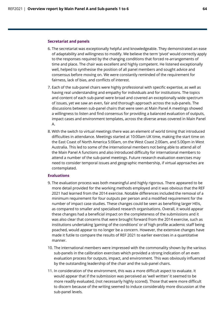#### **Secretariat and panels**

- 6. The secretariat was exceptionally helpful and knowledgeable. They demonstrated an ease of adaptability and willingness to modify. We believe the term 'pivot' would correctly apply to the responses required by the changing conditions that forced re-arrangements of time and place. The chair was excellent and highly competent. He listened exceptionally well, helped to synthesise the position of all panel members and sought advice and consensus before moving on. We were constantly reminded of the requirement for fairness, lack of bias, and conflicts of interest.
- 7. Each of the sub-panel chairs were highly professional with specific expertise, as well as having real understanding and empathy for individuals and for institutions. The topics and content of each sub-panel were broad and covered an exceptionally wide spectrum of issues, yet we saw an even, fair and thorough approach across the sub-panels. The discussions between sub-panel chairs that were seen at Main Panel A meetings showed a willingness to listen and find consensus for providing a balanced evaluation of outputs, impact cases and environment templates, across the diverse areas covered in Main Panel A.
- 8. With the switch to virtual meetings there was an element of world timing that introduced difficulties in attendance. Meetings started at 10:00am UK time, making the start time on the East Coast of North America 5:00am, on the West Coast 2:00am, and 5.00pm in West Australia. This led to some of the international members not being able to attend all of the Main Panel A functions and also introduced difficulty for international members to attend a number of the sub-panel meetings. Future research evaluation exercises may need to consider temporal issues and geographic membership, if virtual approaches are contemplated.

#### **Evaluations**

- 9. The evaluation process was both meaningful and highly rigorous. There appeared to be more detail provided for the working methods employed and it was obvious that the REF 2021 had learned from the 2014 exercise. Notable differences included the removal of a minimum requirement for four outputs per person and a modified requirement for the number of impact case studies. These changes could be seen as benefiting larger HEIs, as compared to smaller and specialised research organisations. Overall, it would appear these changes had a beneficial impact on the completeness of the submissions and it was also clear that concerns that were brought forward from the 2014 exercise, such as institutions undertaking 'gaming of the conditions' or of high profile academic staff being poached, would appear to no longer be a concern. However, the extensive changes have made it futile to compare the results of REF 2021 to earlier exercises in a quantitative manner.
- 10. The international members were impressed with the commonality shown by the various sub-panels in the calibration exercises which provided a strong indication of an even evaluation process for outputs, impact, and environment. This was obviously influenced by the outstanding leadership of the chair and the sub-panel chairs.
- 11. In consideration of the environment, this was a more difficult aspect to evaluate. It would appear that if the submission was perceived as 'well written' it seemed to be more readily evaluated, (not necessarily highly scored). Those that were more difficult to discern because of the writing seemed to induce considerably more discussion at the sub-panel levels.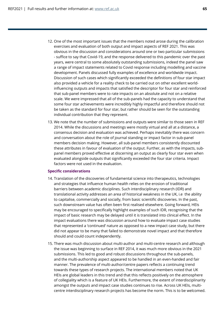- 12. One of the most important issues that the members noted arose during the calibration exercises and evaluation of both output and impact aspects of REF 2021. This was obvious in the discussion and considerations around one or two particular submissions - suffice to say that Covid-19, and the response delivered to this pandemic over the past years, were central to some absolutely outstanding submissions, indeed the panel saw a range of impact statements related to Covid response including modelling and vaccine development. Panels discussed fully examples of excellence and worldwide impact. Discussion of such cases which significantly exceeded the definitions of four star impact also provided a vehicle for a reality check to be carried out on other excellent worldinfluencing outputs and impacts that satisfied the descriptor for four star and reinforced that sub-panel members were to rate impacts on an absolute and not on a relative scale. We were impressed that all of the sub-panels had the capacity to understand that some four star achievements were incredibly highly impactful and therefore should not be taken as the standard for four star, but rather should be seen for the outstanding individual contribution that they represent.
- 13. We note that the number of submissions and outputs were similar to those seen in REF 2014. While the discussions and meetings were mostly virtual and all at a distance, a consensus decision and evaluation was achieved. Perhaps inevitably there was concern and conversation about the role of journal standing or impact factor in sub-panel members decision making. However, all sub-panel members consistently discounted these attributes in favour of evaluation of the output. Further, as with the impacts, subpanel members proved effective at discerning an output as clearly four star even when evaluated alongside outputs that significantly exceeded the four star criteria. Impact factors were not used in the evaluation.

#### **Specific considerations**

- 14. Translation of the discoveries of fundamental science into therapeutics, technologies and strategies that influence human health relies on the erosion of traditional barriers between academic disciplines. Such interdisciplinary research (IDR) and translational activity addresses an area of historical weakness in the UK, i.e the ability to capitalise, commercially and socially, from basic scientific discoveries. In the past, such downstream value has often been first realised elsewhere. Going forward, HEIs may be encouraged to specifically highlight examples of such IDR, recognising that the impact of basic research may be delayed until it is translated into clinical effect. In the impact evaluations there was discussion around how to evaluate impact case studies that represented a 'continued' nature as opposed to a new impact case study, but there did not appear to be many that failed to demonstrate novel impact and that therefore should and could count independently.
- 15. There was much discussion about multi-author and multi-centre research and although the issue was beginning to surface in REF 2014, it was much more obvious in the 2021 submissions. This led to good and robust discussions throughout the sub-panels, and the multi-authorship aspect appeared to be handled in an even-handed and fair manner. The prevalence of multi-author/centre papers reflects a continuing trend towards these types of research projects. The international members noted that UK HEIs are global leaders in this trend and that this reflects positively on the atmosphere of collegiality which is a feature of UK HEIs. Furthermore, the extent of interdisciplinarity amongst the outputs and impact case studies continues to rise. Across UK HEIs, multicentre interdisciplinary research projects has become the norm. This is to be welcomed.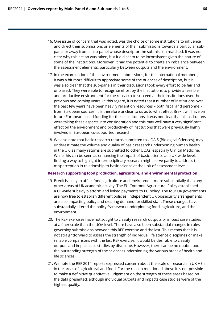- 16. One issue of concern that was noted, was the choice of some institutions to influence and direct their submissions or elements of their submissions towards a particular subpanel or away from a sub-panel whose descriptor the submission matched. It was not clear why this action was taken, but it did seem to be inconsistent given the nature of some of the institutions. Moreover, it had the potential to create an imbalance between the assessment elements, particularly between outputs and the environment.
- 17. In the examination of the environment submissions, for the international members, it was a bit more difficult to appreciate some of the nuances of description, but it was also clear that the sub-panels in their discussions took every effort to be fair and unbiased. They were able to recognise effort by the institutions to provide a feasible and productive environment for the research to succeed at their institutions over the previous and coming years. In this regard, it is noted that a number of institutions over the past few years have been heavily reliant on resources – both fiscal and personnel from European sources. It is therefore unclear to us as to what effect Brexit will have on future European based funding for these institutions. It was not clear that all institutions were taking these aspects into consideration and this may well have a very significant effect on the environment and productivity of institutions that were previously highly involved in European co-supported research.
- 18. We also note that basic research returns submitted to UOA 5 (Biological Sciences), may underestimate the volume and quality of basic research underpinning human health in the UK, as many returns are submitted to other UOAs, especially Clinical Medicine. While this can be seen as enhancing the impact of basic science at a UK-wide level, finding a way to highlight interdisciplinary research might serve partly to address this misperception in relationship to basic science at the unit of assessment level.

#### **Research supporting food production, agriculture, and environmental protection**

- 19. Brexit is likely to affect food, agriculture and environment more substantially than any other areas of UK academic activity. The EU Common Agricultural Policy established a UK-wide subsidy platform and linked payments to EU policy. The four UK governments are now free to establish different policies. Independent UK biosecurity arrangements are also impacting policy and creating demand for skilled staff. These changes have substantially altered the policy framework underpinning food, agriculture, and the environment.
- 20. The REF exercises have not sought to classify research outputs or impact case studies at a finer scale than the UOA level. There have also been substantial changes in rules governing submissions between this REF exercise and the last. This means that it is not straightforward to assess the strength of individual life science disciplines or make reliable comparisons with the last REF exercise. It would be desirable to classify outputs and impact case studies by discipline. However, there can be no doubt about the outstanding strength of the sciences underpinning the various areas of health and life sciences.
- 21. We note the REF 2014 reports expressed concern about the scale of research in UK HEIs in the areas of agricultural and food. For the reason mentioned above it is not possible to make a definitive quantitative judgement on the strength of these areas based on the data presented, although individual outputs and impacts case studies were of the highest quality.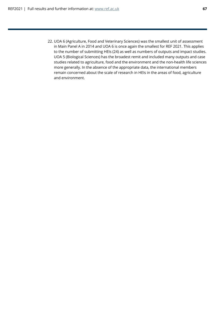22. UOA 6 (Agriculture, Food and Veterinary Sciences) was the smallest unit of assessment in Main Panel A in 2014 and UOA 6 is once again the smallest for REF 2021. This applies to the number of submitting HEIs (24) as well as numbers of outputs and impact studies. UOA 5 (Biological Sciences) has the broadest remit and included many outputs and case studies related to agriculture, food and the environment and the non-health life sciences more generally. In the absence of the appropriate data, the international members remain concerned about the scale of research in HEIs in the areas of food, agriculture and environment.